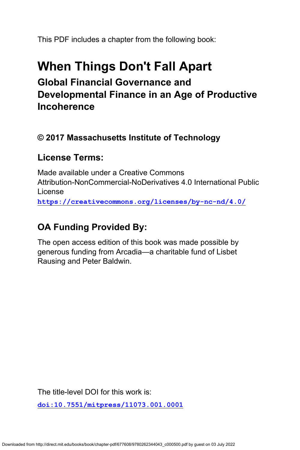This PDF includes a chapter from the following book:

# **When Things Don't Fall Apart Global Financial Governance and Developmental Finance in an Age of Productive Incoherence**

## **© 2017 Massachusetts Institute of Technology**

## **License Terms:**

Made available under a Creative Commons Attribution-NonCommercial-NoDerivatives 4.0 International Public License **<https://creativecommons.org/licenses/by-nc-nd/4.0/>**

## **OA Funding Provided By:**

The open access edition of this book was made possible by generous funding from Arcadia—a charitable fund of Lisbet Rausing and Peter Baldwin.

The title-level DOI for this work is:

**[doi:10.7551/mitpress/11073.001.0001](https://doi.org/10.7551/mitpress/11073.001.0001)**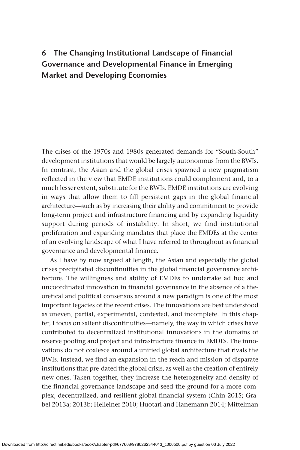### **6 The Changing Institutional Landscape of Financial Governance and Developmental Finance in Emerging Market and Developing Economies**

The crises of the 1970s and 1980s generated demands for "South-South" development institutions that would be largely autonomous from the BWIs. In contrast, the Asian and the global crises spawned a new pragmatism reflected in the view that EMDE institutions could complement and, to a much lesser extent, substitute for the BWIs. EMDE institutions are evolving in ways that allow them to fill persistent gaps in the global financial architecture—such as by increasing their ability and commitment to provide long-term project and infrastructure financing and by expanding liquidity support during periods of instability. In short, we find institutional proliferation and expanding mandates that place the EMDEs at the center of an evolving landscape of what I have referred to throughout as financial governance and developmental finance.

As I have by now argued at length, the Asian and especially the global crises precipitated discontinuities in the global financial governance architecture. The willingness and ability of EMDEs to undertake ad hoc and uncoordinated innovation in financial governance in the absence of a theoretical and political consensus around a new paradigm is one of the most important legacies of the recent crises. The innovations are best understood as uneven, partial, experimental, contested, and incomplete. In this chapter, I focus on salient discontinuities—namely, the way in which crises have contributed to decentralized institutional innovations in the domains of reserve pooling and project and infrastructure finance in EMDEs. The innovations do not coalesce around a unified global architecture that rivals the BWIs. Instead, we find an expansion in the reach and mission of disparate institutions that pre-dated the global crisis, as well as the creation of entirely new ones. Taken together, they increase the heterogeneity and density of the financial governance landscape and seed the ground for a more complex, decentralized, and resilient global financial system (Chin 2015; Grabel 2013a; 2013b; Helleiner 2010; Huotari and Hanemann 2014; Mittelman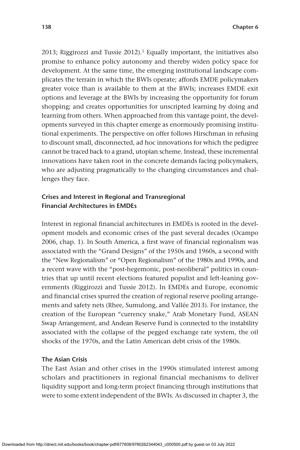2013; Riggirozzi and Tussie  $2012$ ).<sup>1</sup> Equally important, the initiatives also promise to enhance policy autonomy and thereby widen policy space for development. At the same time, the emerging institutional landscape complicates the terrain in which the BWIs operate; affords EMDE policymakers greater voice than is available to them at the BWIs; increases EMDE exit options and leverage at the BWIs by increasing the opportunity for forum shopping; and creates opportunities for unscripted learning by doing and learning from others. When approached from this vantage point, the developments surveyed in this chapter emerge as enormously promising institutional experiments. The perspective on offer follows Hirschman in refusing to discount small, disconnected, ad hoc innovations for which the pedigree cannot be traced back to a grand, utopian scheme. Instead, these incremental innovations have taken root in the concrete demands facing policymakers, who are adjusting pragmatically to the changing circumstances and challenges they face.

#### **Crises and Interest in Regional and Transregional Financial Architectures in EMDEs**

Interest in regional financial architectures in EMDEs is rooted in the development models and economic crises of the past several decades (Ocampo 2006, chap. 1). In South America, a first wave of financial regionalism was associated with the "Grand Designs" of the 1950s and 1960s, a second with the "New Regionalism" or "Open Regionalism" of the 1980s and 1990s, and a recent wave with the "post-hegemonic, post-neoliberal" politics in countries that up until recent elections featured populist and left-leaning governments (Riggirozzi and Tussie 2012). In EMDEs and Europe, economic and financial crises spurred the creation of regional reserve pooling arrangements and safety nets (Rhee, Sumulong, and Vallée 2013). For instance, the creation of the European "currency snake," Arab Monetary Fund, ASEAN Swap Arrangement, and Andean Reserve Fund is connected to the instability associated with the collapse of the pegged exchange rate system, the oil shocks of the 1970s, and the Latin American debt crisis of the 1980s.

#### **The Asian Crisis**

The East Asian and other crises in the 1990s stimulated interest among scholars and practitioners in regional financial mechanisms to deliver liquidity support and long-term project financing through institutions that were to some extent independent of the BWIs. As discussed in chapter 3, the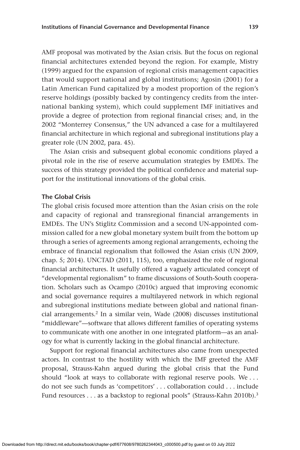AMF proposal was motivated by the Asian crisis. But the focus on regional financial architectures extended beyond the region. For example, Mistry (1999) argued for the expansion of regional crisis management capacities that would support national and global institutions; Agosin (2001) for a Latin American Fund capitalized by a modest proportion of the region's reserve holdings (possibly backed by contingency credits from the international banking system), which could supplement IMF initiatives and provide a degree of protection from regional financial crises; and, in the 2002 "Monterrey Consensus," the UN advanced a case for a multilayered financial architecture in which regional and subregional institutions play a greater role (UN 2002, para. 45).

The Asian crisis and subsequent global economic conditions played a pivotal role in the rise of reserve accumulation strategies by EMDEs. The success of this strategy provided the political confidence and material support for the institutional innovations of the global crisis.

#### **The Global Crisis**

The global crisis focused more attention than the Asian crisis on the role and capacity of regional and transregional financial arrangements in EMDEs. The UN's Stiglitz Commission and a second UN-appointed commission called for a new global monetary system built from the bottom up through a series of agreements among regional arrangements, echoing the embrace of financial regionalism that followed the Asian crisis (UN 2009, chap. 5; 2014). UNCTAD (2011, 115), too, emphasized the role of regional financial architectures. It usefully offered a vaguely articulated concept of "developmental regionalism" to frame discussions of South-South cooperation. Scholars such as Ocampo (2010c) argued that improving economic and social governance requires a multilayered network in which regional and subregional institutions mediate between global and national financial arrangements.2 In a similar vein, Wade (2008) discusses institutional "middleware"—software that allows different families of operating systems to communicate with one another in one integrated platform—as an analogy for what is currently lacking in the global financial architecture.

Support for regional financial architectures also came from unexpected actors. In contrast to the hostility with which the IMF greeted the AMF proposal, Strauss-Kahn argued during the global crisis that the Fund should "look at ways to collaborate with regional reserve pools. We . . . do not see such funds as 'competitors' . . . collaboration could . . . include Fund resources . . . as a backstop to regional pools" (Strauss-Kahn 2010b).<sup>3</sup>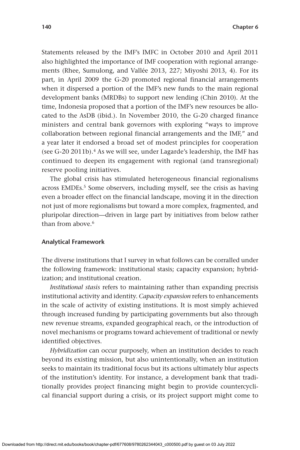Statements released by the IMF's IMFC in October 2010 and April 2011 also highlighted the importance of IMF cooperation with regional arrangements (Rhee, Sumulong, and Vallée 2013, 227; Miyoshi 2013, 4). For its part, in April 2009 the G-20 promoted regional financial arrangements when it dispersed a portion of the IMF's new funds to the main regional development banks (MRDBs) to support new lending (Chin 2010). At the time, Indonesia proposed that a portion of the IMF's new resources be allocated to the AsDB (ibid.). In November 2010, the G-20 charged finance ministers and central bank governors with exploring "ways to improve collaboration between regional financial arrangements and the IMF," and a year later it endorsed a broad set of modest principles for cooperation (see G-20 2011b).4 As we will see, under Lagarde's leadership, the IMF has continued to deepen its engagement with regional (and transregional) reserve pooling initiatives.

The global crisis has stimulated heterogeneous financial regionalisms across EMDEs.<sup>5</sup> Some observers, including myself, see the crisis as having even a broader effect on the financial landscape, moving it in the direction not just of more regionalisms but toward a more complex, fragmented, and pluripolar direction—driven in large part by initiatives from below rather than from above.<sup>6</sup>

#### **Analytical Framework**

The diverse institutions that I survey in what follows can be corralled under the following framework: institutional stasis; capacity expansion; hybridization; and institutional creation.

*Institutional stasis* refers to maintaining rather than expanding precrisis institutional activity and identity. *Capacity expansion* refers to enhancements in the scale of activity of existing institutions. It is most simply achieved through increased funding by participating governments but also through new revenue streams, expanded geographical reach, or the introduction of novel mechanisms or programs toward achievement of traditional or newly identified objectives.

*Hybridization* can occur purposely, when an institution decides to reach beyond its existing mission, but also unintentionally, when an institution seeks to maintain its traditional focus but its actions ultimately blur aspects of the institution's identity. For instance, a development bank that traditionally provides project financing might begin to provide countercyclical financial support during a crisis, or its project support might come to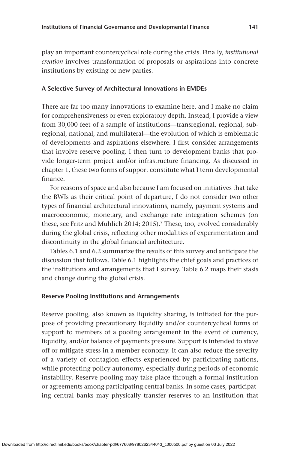play an important countercyclical role during the crisis. Finally, *institutional creation* involves transformation of proposals or aspirations into concrete institutions by existing or new parties.

#### **A Selective Survey of Architectural Innovations in EMDEs**

There are far too many innovations to examine here, and I make no claim for comprehensiveness or even exploratory depth. Instead, I provide a view from 30,000 feet of a sample of institutions—transregional, regional, subregional, national, and multilateral—the evolution of which is emblematic of developments and aspirations elsewhere. I first consider arrangements that involve reserve pooling. I then turn to development banks that provide longer-term project and/or infrastructure financing. As discussed in chapter 1, these two forms of support constitute what I term developmental finance.

For reasons of space and also because I am focused on initiatives that take the BWIs as their critical point of departure, I do not consider two other types of financial architectural innovations, namely, payment systems and macroeconomic, monetary, and exchange rate integration schemes (on these, see Fritz and Mühlich 2014; 2015).<sup>7</sup> These, too, evolved considerably during the global crisis, reflecting other modalities of experimentation and discontinuity in the global financial architecture.

Tables 6.1 and 6.2 summarize the results of this survey and anticipate the discussion that follows. Table 6.1 highlights the chief goals and practices of the institutions and arrangements that I survey. Table 6.2 maps their stasis and change during the global crisis.

#### **Reserve Pooling Institutions and Arrangements**

Reserve pooling, also known as liquidity sharing, is initiated for the purpose of providing precautionary liquidity and/or countercyclical forms of support to members of a pooling arrangement in the event of currency, liquidity, and/or balance of payments pressure. Support is intended to stave off or mitigate stress in a member economy. It can also reduce the severity of a variety of contagion effects experienced by participating nations, while protecting policy autonomy, especially during periods of economic instability. Reserve pooling may take place through a formal institution or agreements among participating central banks. In some cases, participating central banks may physically transfer reserves to an institution that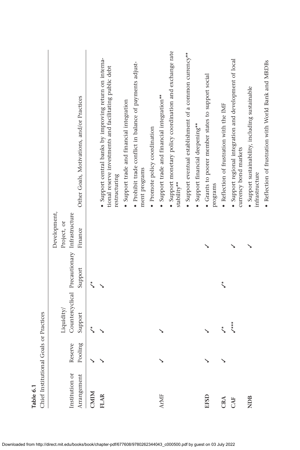| Table 6.1                              |                    |                                                                       |         |                                        |                                                                                                                                     |
|----------------------------------------|--------------------|-----------------------------------------------------------------------|---------|----------------------------------------|-------------------------------------------------------------------------------------------------------------------------------------|
| Chief Institutional Goals or Practices |                    |                                                                       |         |                                        |                                                                                                                                     |
| Institution or<br>Arrangement          | Pooling<br>Reserve | Countercyclical Precautionary Infrastructure<br>Liquidity/<br>Support | Support | Development,<br>Project, or<br>Finance | Other Goals, Motivations, and/or Practices                                                                                          |
| <b>CMIM</b>                            |                    | ڋ                                                                     | ڋ       |                                        |                                                                                                                                     |
| <b>FLAR</b>                            |                    |                                                                       |         |                                        | • Support central banks by improving return on interna-<br>tional reserve investments and facilitating public debt<br>restructuring |
|                                        |                    |                                                                       |         |                                        | · Support trade and financial integration                                                                                           |
|                                        |                    |                                                                       |         |                                        | · Prohibit trade conflict in balance of payments adjust-<br>ment programs                                                           |
|                                        |                    |                                                                       |         |                                        | · Promote policy coordination                                                                                                       |
| ArMF                                   |                    |                                                                       |         |                                        | • Support trade and financial integration**                                                                                         |
|                                        |                    |                                                                       |         |                                        | · Support monetary policy coordination and exchange rate<br>stability**                                                             |
|                                        |                    |                                                                       |         |                                        | • Support eventual establishment of a common currency**                                                                             |
|                                        |                    |                                                                       |         |                                        | Support financial deepening**                                                                                                       |
| EFSD                                   |                    |                                                                       |         |                                        | • Grants to poorer member states to support social<br>programs                                                                      |
| CRA                                    |                    | $\ddot{\zeta}$                                                        | き       |                                        | • Reflection of frustration with the IMF                                                                                            |
| CAF                                    |                    | $\frac{1}{2}$                                                         |         |                                        | · Support regional integration and development of local<br>currency bond markets                                                    |
| NDB                                    |                    |                                                                       |         |                                        | · Support sustainability, including sustainable<br>intrastructure                                                                   |
|                                        |                    |                                                                       |         |                                        | • Reflection of frustration with World Bank and MRDBs                                                                               |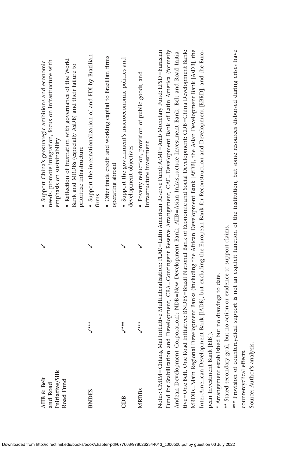| and Road<br>Initiative/Silk<br><b>AIIB</b> & Belt<br>Road Fund |                                                                                                                              | • Reflection of frustration with governance of the World<br>needs, promote integration, focus on infrastructure with<br>Support China's geostrategic ambitions and economic<br>Bank and MRDBs (especially AsDB) and their failure to<br>emphasis on sustainability<br>prioritize infrastructure                                                                                                                                                                                                                                                                                                                                                                                                                                                                                                     |
|----------------------------------------------------------------|------------------------------------------------------------------------------------------------------------------------------|-----------------------------------------------------------------------------------------------------------------------------------------------------------------------------------------------------------------------------------------------------------------------------------------------------------------------------------------------------------------------------------------------------------------------------------------------------------------------------------------------------------------------------------------------------------------------------------------------------------------------------------------------------------------------------------------------------------------------------------------------------------------------------------------------------|
| <b>BNDES</b>                                                   | $\frac{1}{2}$                                                                                                                | • Support the internationalization of and FDI by Brazilian<br>firms                                                                                                                                                                                                                                                                                                                                                                                                                                                                                                                                                                                                                                                                                                                                 |
|                                                                |                                                                                                                              | • Offer trade credit and working capital to Brazilian firms<br>operating abroad                                                                                                                                                                                                                                                                                                                                                                                                                                                                                                                                                                                                                                                                                                                     |
| CDB                                                            | $\frac{1}{2}$                                                                                                                | • Support the government's macroeconomic policies and<br>development objectives                                                                                                                                                                                                                                                                                                                                                                                                                                                                                                                                                                                                                                                                                                                     |
| <b>MRDBs</b>                                                   | $\frac{1}{2}$                                                                                                                | • Poverty reduction, provision of public goods, and<br>infrastructure investment                                                                                                                                                                                                                                                                                                                                                                                                                                                                                                                                                                                                                                                                                                                    |
| pean Investment Bank [EIB]).                                   | ** Stated secondary goal, but no action or evidence to support claims.<br>* Arrangement established but no drawings to date. | MRDBs=Main Regional Development Banks (including the African Development Bank [AfDB], the Asian Development Bank [AsDB], the<br>Notes: CMIM=Chiang Mai Initiative Multilateralisation; FLAR=Latin American Reserve Fund; ArMF=Arab Monetary Fund; EFSD=Eurasian<br>Andean Development Corporation); NDB=New Development Bank; AIIB=Asian Infrastructure Investment Bank; Belt and Road Initia-<br>Fund for Stabilization and Development; CRA=Contingent Reserve Arrangement; CAF=Development Bank of Latin America (formerly<br>tive=One Belt, One Road Initiative; BNDES=Brazil National Bank of Economic and Social Development; CDB=China Development Bank;<br>Inter-American Development Bank [IADB], but excluding the European Bank for Reconstruction and Development [EBRD], and the Euro- |

Source: Author's analysis. Source: Author's analysis.

countercyclical effects.

countercyclical effects.

\*\*\* Provision of countercyclical support is not an explicit function of the institution, but some resources disbursed during crises have

\*\*\* Provision of countercyclical support is not an explicit function of the institution, but some resources disbursed during crises have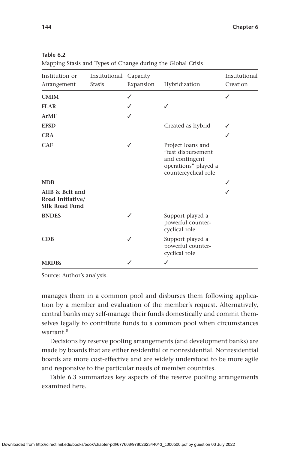| ١<br>I<br>ı H<br>ונז |  |
|----------------------|--|
|----------------------|--|

| Institution or<br>Arrangement                                | Institutional<br><b>Stasis</b> | Capacity<br>Expansion | Hybridization                                                                                             | Institutional<br>Creation |
|--------------------------------------------------------------|--------------------------------|-----------------------|-----------------------------------------------------------------------------------------------------------|---------------------------|
| <b>CMIM</b>                                                  |                                | ✓                     |                                                                                                           |                           |
| <b>FLAR</b>                                                  |                                | ✓                     |                                                                                                           |                           |
| <b>ArMF</b>                                                  |                                | J                     |                                                                                                           |                           |
| <b>EFSD</b>                                                  |                                |                       | Created as hybrid                                                                                         |                           |
| <b>CRA</b>                                                   |                                |                       |                                                                                                           |                           |
| CAF                                                          |                                | ✓                     | Project loans and<br>"fast disbursement<br>and contingent<br>operations" played a<br>countercyclical role |                           |
| <b>NDB</b>                                                   |                                |                       |                                                                                                           |                           |
| AIIB & Belt and<br>Road Initiative/<br><b>Silk Road Fund</b> |                                |                       |                                                                                                           |                           |
| <b>BNDES</b>                                                 |                                | ✓                     | Support played a<br>powerful counter-<br>cyclical role                                                    |                           |
| CDB                                                          |                                | ✓                     | Support played a<br>powerful counter-<br>cyclical role                                                    |                           |
| <b>MRDBs</b>                                                 |                                | ✓                     | ✓                                                                                                         |                           |

Source: Author's analysis.

manages them in a common pool and disburses them following application by a member and evaluation of the member's request. Alternatively, central banks may self-manage their funds domestically and commit themselves legally to contribute funds to a common pool when circumstances warrant.8

Decisions by reserve pooling arrangements (and development banks) are made by boards that are either residential or nonresidential. Nonresidential boards are more cost-effective and are widely understood to be more agile and responsive to the particular needs of member countries.

Table 6.3 summarizes key aspects of the reserve pooling arrangements examined here.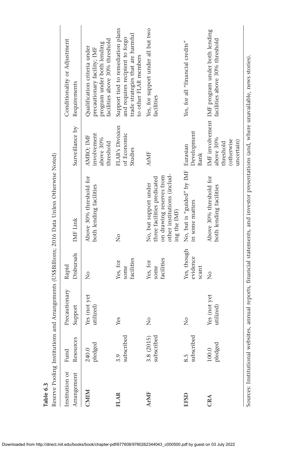Support tied to remediation plans Support tied to remediation plans ArMF Yes, for support under all but two Yes, for support under all but two IMF program under both lending IMF involvement IMF program under both lending trade strategies that are harmful trade strategies that are harmful and requires recipient to forgo and requires recipient to forgo Conditionality or Adjustment facilities above 30% threshold Conditionality or Adjustment facilities above 30% threshold facilities above 30% threshold facilities above 30% threshold program under both lending Yes, for all "financial credits" program under both lending Yes, for all "financial credits" Qualification criteria under Qualification criteria under precautionary facility; IMF precautionary facility; IMF to other FLAR members to other FLAR members Sources: Institutional websites, annual reports, financial statements, and investor presentations (and, where unavailable, news stories). Sources: Institutional websites, annual reports, financial statements, and investor presentations (and, where unavailable, news stories). Requirements Requirements facilities IMF involvement No FLAR's Division **LAR's Division** Surveillance by Disbursals IMF Link Surveillance by Development Development involvement of Economic involvement of Economic AMRO; IMF AMRO; IMF above 30% above 30% above 30% above 30% (otherwise (otherwise uncertain) hreshold threshold threshold uncertain) threshold No, but is "guided" by IMF Eurasian Eurasian Studies **ArMF** Bank Reserve Pooling Institutions and Arrangements (US\$Billions; 2016 Data Unless Otherwise Noted) Reserve Pooling Institutions and Arrangements (US\$Billions; 2016 Data Unless Otherwise Noted) No, but is "guided" by IMF on drawing reserves from other institutions (includ-No Above 30% threshold for three facilities predicated on drawing reserves from other institutions (includ-Above 30% threshold for No Above 30% threshold for Above 30% threshold for three facilities predicated No, but support under No, but support under both lending facilities both lending facilities both lending facilities both lending facilities in some matters in some matters ing the IMF) ing the IMF) IMF Link  $\frac{1}{2}$ Yes, though No Yes, though Disbursals evidence evidence facilities facilities Yes Yes, for No Yes, for Yes, for Yes, for Rapid some some scant  $\frac{1}{2}$  $\frac{1}{2}$ Precautionary Precautionary Yes (not yet Yes (not yet Yes (not yet Yes (not yet Support utilized) utilized) Yes  $\frac{1}{2}$  $\frac{1}{2}$ **ArMF** 3.8 (2015) subscribed subscribed subscribed 3.8 (2015) subscribed subscribed subscribed Resources Resources pledged pledged 100.0 240.0 **CMIM** 240.0 **CRA** 100.0 Fund 3.9 **FLAR** 3.9 8.5 **EFSD** 8.5 Institution or Institution or Arrangement Arrangement Table 6.3 **Table 6.3 CMIM ArMF FLAR** EFSD CRA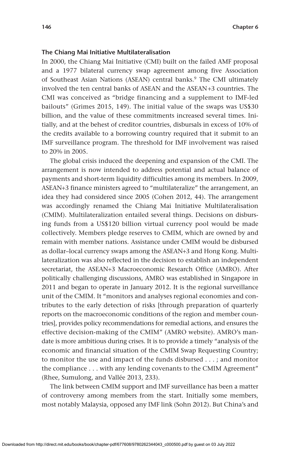#### **The Chiang Mai Initiative Multilateralisation**

In 2000, the Chiang Mai Initiative (CMI) built on the failed AMF proposal and a 1977 bilateral currency swap agreement among five Association of Southeast Asian Nations (ASEAN) central banks.<sup>9</sup> The CMI ultimately involved the ten central banks of ASEAN and the ASEAN+3 countries. The CMI was conceived as "bridge financing and a supplement to IMF-led bailouts" (Grimes 2015, 149). The initial value of the swaps was US\$30 billion, and the value of these commitments increased several times. Initially, and at the behest of creditor countries, disbursals in excess of 10% of the credits available to a borrowing country required that it submit to an IMF surveillance program. The threshold for IMF involvement was raised to 20% in 2005.

The global crisis induced the deepening and expansion of the CMI. The arrangement is now intended to address potential and actual balance of payments and short-term liquidity difficulties among its members. In 2009, ASEAN+3 finance ministers agreed to "multilateralize" the arrangement, an idea they had considered since 2005 (Cohen 2012, 44). The arrangement was accordingly renamed the Chiang Mai Initiative Multilateralisation (CMIM). Multilateralization entailed several things. Decisions on disbursing funds from a US\$120 billion virtual currency pool would be made collectively. Members pledge reserves to CMIM, which are owned by and remain with member nations. Assistance under CMIM would be disbursed as dollar–local currency swaps among the ASEAN+3 and Hong Kong. Multilateralization was also reflected in the decision to establish an independent secretariat, the ASEAN+3 Macroeconomic Research Office (AMRO). After politically challenging discussions, AMRO was established in Singapore in 2011 and began to operate in January 2012. It is the regional surveillance unit of the CMIM. It "monitors and analyses regional economies and contributes to the early detection of risks [through preparation of quarterly reports on the macroeconomic conditions of the region and member countries], provides policy recommendations for remedial actions, and ensures the effective decision-making of the CMIM" (AMRO website). AMRO's mandate is more ambitious during crises. It is to provide a timely "analysis of the economic and financial situation of the CMIM Swap Requesting Country; to monitor the use and impact of the funds disbursed . . . ; and monitor the compliance . . . with any lending covenants to the CMIM Agreement" (Rhee, Sumulong, and Vallée 2013, 233).

The link between CMIM support and IMF surveillance has been a matter of controversy among members from the start. Initially some members, most notably Malaysia, opposed any IMF link (Sohn 2012). But China's and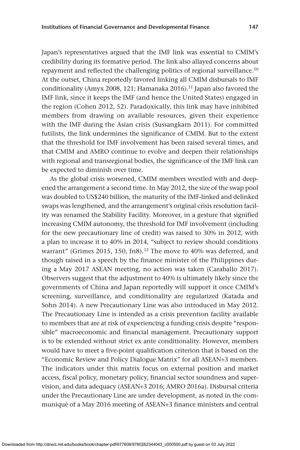Japan's representatives argued that the IMF link was essential to CMIM's credibility during its formative period. The link also allayed concerns about repayment and reflected the challenging politics of regional surveillance.<sup>10</sup> At the outset, China reportedly favored linking all CMIM disbursals to IMF conditionality (Amyx 2008, 121; Hamanaka 2016).<sup>11</sup> Japan also favored the IMF link, since it keeps the IMF (and hence the United States) engaged in the region (Cohen 2012, 52). Paradoxically, this link may have inhibited members from drawing on available resources, given their experience with the IMF during the Asian crisis (Sussangkarn 2011). For committed futilists, the link undermines the significance of CMIM. But to the extent that the threshold for IMF involvement has been raised several times, and that CMIM and AMRO continue to evolve and deepen their relationships with regional and transregional bodies, the significance of the IMF link can be expected to diminish over time.

As the global crisis worsened, CMIM members wrestled with and deepened the arrangement a second time. In May 2012, the size of the swap pool was doubled to US\$240 billion, the maturity of the IMF-linked and delinked swaps was lengthened, and the arrangement's original crisis resolution facility was renamed the Stability Facility. Moreover, in a gesture that signified increasing CMIM autonomy, the threshold for IMF involvement (including for the new precautionary line of credit) was raised to 30% in 2012, with a plan to increase it to 40% in 2014, "subject to review should conditions warrant" (Grimes 2015, 150, fn8).<sup>12</sup> The move to 40% was deferred, and though raised in a speech by the finance minister of the Philippines during a May 2017 ASEAN meeting, no action was taken (Caraballo 2017). Observers suggest that the adjustment to 40% is ultimately likely since the governments of China and Japan reportedly will support it once CMIM's screening, surveillance, and conditionality are regularized (Katada and Sohn 2014). A new Precautionary Line was also introduced in May 2012. The Precautionary Line is intended as a crisis prevention facility available to members that are at risk of experiencing a funding crisis despite "responsible" macroeconomic and financial management. Precautionary support is to be extended without strict ex ante conditionality. However, members would have to meet a five-point qualification criterion that is based on the "Economic Review and Policy Dialogue Matrix" for all ASEAN+3 members. The indicators under this matrix focus on external position and market access, fiscal policy, monetary policy, financial sector soundness and supervision, and data adequacy (ASEAN+3 2016; AMRO 2016a). Disbursal criteria under the Precautionary Line are under development, as noted in the communiqué of a May 2016 meeting of ASEAN+3 finance ministers and central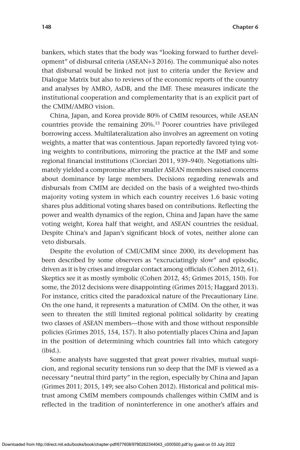bankers, which states that the body was "looking forward to further development" of disbursal criteria (ASEAN+3 2016). The communiqué also notes that disbursal would be linked not just to criteria under the Review and Dialogue Matrix but also to reviews of the economic reports of the country and analyses by AMRO, AsDB, and the IMF. These measures indicate the institutional cooperation and complementarity that is an explicit part of the CMIM/AMRO vision.

China, Japan, and Korea provide 80% of CMIM resources, while ASEAN countries provide the remaining 20%.13 Poorer countries have privileged borrowing access. Multilateralization also involves an agreement on voting weights, a matter that was contentious. Japan reportedly favored tying voting weights to contributions, mirroring the practice at the IMF and some regional financial institutions (Ciorciari 2011, 939–940). Negotiations ultimately yielded a compromise after smaller ASEAN members raised concerns about dominance by large members. Decisions regarding renewals and disbursals from CMIM are decided on the basis of a weighted two-thirds majority voting system in which each country receives 1.6 basic voting shares plus additional voting shares based on contributions. Reflecting the power and wealth dynamics of the region, China and Japan have the same voting weight, Korea half that weight, and ASEAN countries the residual. Despite China's and Japan's significant block of votes, neither alone can veto disbursals.

Despite the evolution of CMI/CMIM since 2000, its development has been described by some observers as "excruciatingly slow" and episodic, driven as it is by crises and irregular contact among officials (Cohen 2012, 61). Skeptics see it as mostly symbolic (Cohen 2012, 45; Grimes 2015, 150). For some, the 2012 decisions were disappointing (Grimes 2015; Haggard 2013). For instance, critics cited the paradoxical nature of the Precautionary Line. On the one hand, it represents a maturation of CMIM. On the other, it was seen to threaten the still limited regional political solidarity by creating two classes of ASEAN members—those with and those without responsible policies (Grimes 2015, 154, 157). It also potentially places China and Japan in the position of determining which countries fall into which category (ibid.).

Some analysts have suggested that great power rivalries, mutual suspicion, and regional security tensions run so deep that the IMF is viewed as a necessary "neutral third party" in the region, especially by China and Japan (Grimes 2011; 2015, 149; see also Cohen 2012). Historical and political mistrust among CMIM members compounds challenges within CMIM and is reflected in the tradition of noninterference in one another's affairs and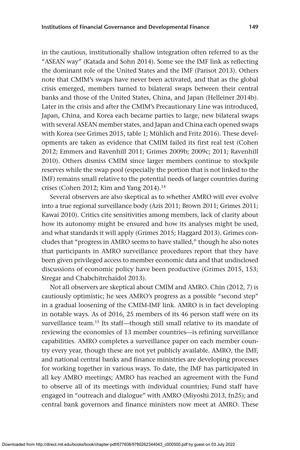in the cautious, institutionally shallow integration often referred to as the "ASEAN way" (Katada and Sohn 2014). Some see the IMF link as reflecting the dominant role of the United States and the IMF (Parisot 2013). Others note that CMIM's swaps have never been activated, and that as the global crisis emerged, members turned to bilateral swaps between their central banks and those of the United States, China, and Japan (Helleiner 2014b). Later in the crisis and after the CMIM's Precautionary Line was introduced, Japan, China, and Korea each became parties to large, new bilateral swaps with several ASEAN member states, and Japan and China each opened swaps with Korea (see Grimes 2015, table 1; Mühlich and Fritz 2016). These developments are taken as evidence that CMIM failed its first real test (Cohen 2012; Emmers and Ravenhill 2011; Grimes 2009b; 2009c; 2011; Ravenhill 2010). Others dismiss CMIM since larger members continue to stockpile reserves while the swap pool (especially the portion that is not linked to the IMF) remains small relative to the potential needs of larger countries during crises (Cohen 2012; Kim and Yang 2014).14

Several observers are also skeptical as to whether AMRO will ever evolve into a true regional surveillance body (Azis 2011; Brown 2011; Grimes 2011; Kawai 2010). Critics cite sensitivities among members, lack of clarity about how its autonomy might be ensured and how its analyses might be used, and what standards it will apply (Grimes 2015; Haggard 2013). Grimes concludes that "progress in AMRO seems to have stalled," though he also notes that participants in AMRO surveillance procedures report that they have been given privileged access to member economic data and that undisclosed discussions of economic policy have been productive (Grimes 2015, 153; Siregar and Chabchitrchaidol 2013).

Not all observers are skeptical about CMIM and AMRO. Chin (2012, 7) is cautiously optimistic; he sees AMRO's progress as a possible "second step" in a gradual loosening of the CMIM-IMF link. AMRO is in fact developing in notable ways. As of 2016, 25 members of its 46 person staff were on its surveillance team.<sup>15</sup> Its staff—though still small relative to its mandate of reviewing the economies of 13 member countries—is refining surveillance capabilities. AMRO completes a surveillance paper on each member country every year, though these are not yet publicly available. AMRO, the IMF, and national central banks and finance ministries are developing processes for working together in various ways. To date, the IMF has participated in all key AMRO meetings; AMRO has reached an agreement with the Fund to observe all of its meetings with individual countries; Fund staff have engaged in "outreach and dialogue" with AMRO (Miyoshi 2013, fn25); and central bank governors and finance ministers now meet at AMRO. These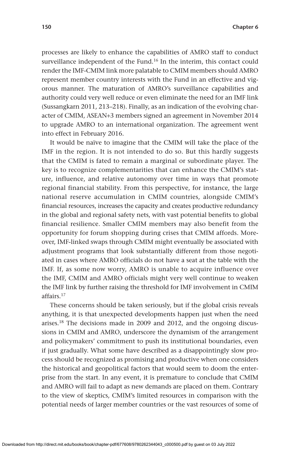processes are likely to enhance the capabilities of AMRO staff to conduct surveillance independent of the Fund.<sup>16</sup> In the interim, this contact could render the IMF-CMIM link more palatable to CMIM members should AMRO represent member country interests with the Fund in an effective and vigorous manner. The maturation of AMRO's surveillance capabilities and authority could very well reduce or even eliminate the need for an IMF link (Sussangkarn 2011, 213–218). Finally, as an indication of the evolving character of CMIM, ASEAN+3 members signed an agreement in November 2014 to upgrade AMRO to an international organization. The agreement went into effect in February 2016.

It would be naïve to imagine that the CMIM will take the place of the IMF in the region. It is not intended to do so. But this hardly suggests that the CMIM is fated to remain a marginal or subordinate player. The key is to recognize complementarities that can enhance the CMIM's stature, influence, and relative autonomy over time in ways that promote regional financial stability. From this perspective, for instance, the large national reserve accumulation in CMIM countries, alongside CMIM's financial resources, increases the capacity and creates productive redundancy in the global and regional safety nets, with vast potential benefits to global financial resilience. Smaller CMIM members may also benefit from the opportunity for forum shopping during crises that CMIM affords. Moreover, IMF-linked swaps through CMIM might eventually be associated with adjustment programs that look substantially different from those negotiated in cases where AMRO officials do not have a seat at the table with the IMF. If, as some now worry, AMRO is unable to acquire influence over the IMF, CMIM and AMRO officials might very well continue to weaken the IMF link by further raising the threshold for IMF involvement in CMIM affairs.17

These concerns should be taken seriously, but if the global crisis reveals anything, it is that unexpected developments happen just when the need arises.18 The decisions made in 2009 and 2012, and the ongoing discussions in CMIM and AMRO, underscore the dynamism of the arrangement and policymakers' commitment to push its institutional boundaries, even if just gradually. What some have described as a disappointingly slow process should be recognized as promising and productive when one considers the historical and geopolitical factors that would seem to doom the enterprise from the start. In any event, it is premature to conclude that CMIM and AMRO will fail to adapt as new demands are placed on them. Contrary to the view of skeptics, CMIM's limited resources in comparison with the potential needs of larger member countries or the vast resources of some of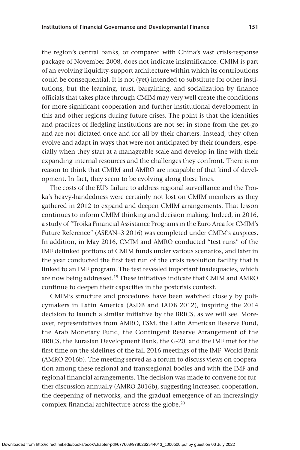the region's central banks, or compared with China's vast crisis-response package of November 2008, does not indicate insignificance. CMIM is part of an evolving liquidity-support architecture within which its contributions could be consequential. It is not (yet) intended to substitute for other institutions, but the learning, trust, bargaining, and socialization by finance officials that takes place through CMIM may very well create the conditions for more significant cooperation and further institutional development in this and other regions during future crises. The point is that the identities and practices of fledgling institutions are not set in stone from the get-go and are not dictated once and for all by their charters. Instead, they often evolve and adapt in ways that were not anticipated by their founders, especially when they start at a manageable scale and develop in line with their expanding internal resources and the challenges they confront. There is no reason to think that CMIM and AMRO are incapable of that kind of development. In fact, they seem to be evolving along these lines.

The costs of the EU's failure to address regional surveillance and the Troika's heavy-handedness were certainly not lost on CMIM members as they gathered in 2012 to expand and deepen CMIM arrangements. That lesson continues to inform CMIM thinking and decision making. Indeed, in 2016, a study of "Troika Financial Assistance Programs in the Euro Area for CMIM's Future Reference" (ASEAN+3 2016) was completed under CMIM's auspices. In addition, in May 2016, CMIM and AMRO conducted "test runs" of the IMF delinked portions of CMIM funds under various scenarios, and later in the year conducted the first test run of the crisis resolution facility that is linked to an IMF program. The test revealed important inadequacies, which are now being addressed.19 These initiatives indicate that CMIM and AMRO continue to deepen their capacities in the postcrisis context.

CMIM's structure and procedures have been watched closely by policymakers in Latin America (AsDB and IADB 2012), inspiring the 2014 decision to launch a similar initiative by the BRICS, as we will see. Moreover, representatives from AMRO, ESM, the Latin American Reserve Fund, the Arab Monetary Fund, the Contingent Reserve Arrangement of the BRICS, the Eurasian Development Bank, the G-20, and the IMF met for the first time on the sidelines of the fall 2016 meetings of the IMF–World Bank (AMRO 2016b). The meeting served as a forum to discuss views on cooperation among these regional and transregional bodies and with the IMF and regional financial arrangements. The decision was made to convene for further discussion annually (AMRO 2016b), suggesting increased cooperation, the deepening of networks, and the gradual emergence of an increasingly complex financial architecture across the globe.20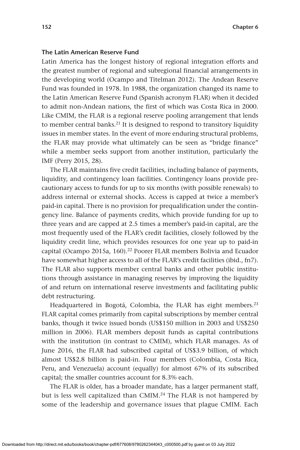#### **The Latin American Reserve Fund**

Latin America has the longest history of regional integration efforts and the greatest number of regional and subregional financial arrangements in the developing world (Ocampo and Titelman 2012). The Andean Reserve Fund was founded in 1978. In 1988, the organization changed its name to the Latin American Reserve Fund (Spanish acronym FLAR) when it decided to admit non-Andean nations, the first of which was Costa Rica in 2000. Like CMIM, the FLAR is a regional reserve pooling arrangement that lends to member central banks.21 It is designed to respond to transitory liquidity issues in member states. In the event of more enduring structural problems, the FLAR may provide what ultimately can be seen as "bridge finance" while a member seeks support from another institution, particularly the IMF (Perry 2015, 28).

The FLAR maintains five credit facilities, including balance of payments, liquidity, and contingency loan facilities. Contingency loans provide precautionary access to funds for up to six months (with possible renewals) to address internal or external shocks. Access is capped at twice a member's paid-in capital. There is no provision for prequalification under the contingency line. Balance of payments credits, which provide funding for up to three years and are capped at 2.5 times a member's paid-in capital, are the most frequently used of the FLAR's credit facilities, closely followed by the liquidity credit line, which provides resources for one year up to paid-in capital (Ocampo 2015a, 160).<sup>22</sup> Poorer FLAR members Bolivia and Ecuador have somewhat higher access to all of the FLAR's credit facilities (ibid., fn7). The FLAR also supports member central banks and other public institutions through assistance in managing reserves by improving the liquidity of and return on international reserve investments and facilitating public debt restructuring.

Headquartered in Bogotá, Colombia, the FLAR has eight members.<sup>23</sup> FLAR capital comes primarily from capital subscriptions by member central banks, though it twice issued bonds (US\$150 million in 2003 and US\$250 million in 2006). FLAR members deposit funds as capital contributions with the institution (in contrast to CMIM), which FLAR manages. As of June 2016, the FLAR had subscribed capital of US\$3.9 billion, of which almost US\$2.8 billion is paid-in. Four members (Colombia, Costa Rica, Peru, and Venezuela) account (equally) for almost 67% of its subscribed capital; the smaller countries account for 8.3% each.

The FLAR is older, has a broader mandate, has a larger permanent staff, but is less well capitalized than CMIM.<sup>24</sup> The FLAR is not hampered by some of the leadership and governance issues that plague CMIM. Each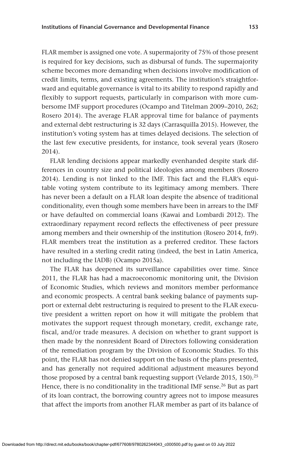FLAR member is assigned one vote. A supermajority of 75% of those present is required for key decisions, such as disbursal of funds. The supermajority scheme becomes more demanding when decisions involve modification of credit limits, terms, and existing agreements. The institution's straightforward and equitable governance is vital to its ability to respond rapidly and flexibly to support requests, particularly in comparison with more cumbersome IMF support procedures (Ocampo and Titelman 2009–2010, 262; Rosero 2014). The average FLAR approval time for balance of payments and external debt restructuring is 32 days (Carrasquilla 2015). However, the institution's voting system has at times delayed decisions. The selection of the last few executive presidents, for instance, took several years (Rosero 2014).

FLAR lending decisions appear markedly evenhanded despite stark differences in country size and political ideologies among members (Rosero 2014). Lending is not linked to the IMF. This fact and the FLAR's equitable voting system contribute to its legitimacy among members. There has never been a default on a FLAR loan despite the absence of traditional conditionality, even though some members have been in arrears to the IMF or have defaulted on commercial loans (Kawai and Lombardi 2012). The extraordinary repayment record reflects the effectiveness of peer pressure among members and their ownership of the institution (Rosero 2014, fn9). FLAR members treat the institution as a preferred creditor. These factors have resulted in a sterling credit rating (indeed, the best in Latin America, not including the IADB) (Ocampo 2015a).

The FLAR has deepened its surveillance capabilities over time. Since 2011, the FLAR has had a macroeconomic monitoring unit, the Division of Economic Studies, which reviews and monitors member performance and economic prospects. A central bank seeking balance of payments support or external debt restructuring is required to present to the FLAR executive president a written report on how it will mitigate the problem that motivates the support request through monetary, credit, exchange rate, fiscal, and/or trade measures. A decision on whether to grant support is then made by the nonresident Board of Directors following consideration of the remediation program by the Division of Economic Studies. To this point, the FLAR has not denied support on the basis of the plans presented, and has generally not required additional adjustment measures beyond those proposed by a central bank requesting support (Velarde 2015, 150).<sup>25</sup> Hence, there is no conditionality in the traditional IMF sense.<sup>26</sup> But as part of its loan contract, the borrowing country agrees not to impose measures that affect the imports from another FLAR member as part of its balance of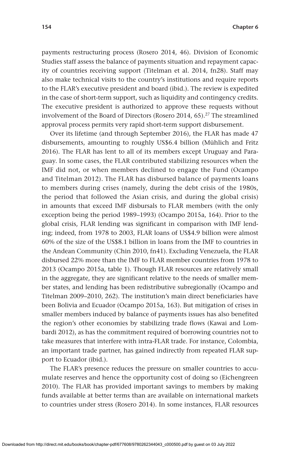payments restructuring process (Rosero 2014, 46). Division of Economic Studies staff assess the balance of payments situation and repayment capacity of countries receiving support (Titelman et al. 2014, fn28). Staff may also make technical visits to the country's institutions and require reports to the FLAR's executive president and board (ibid.). The review is expedited in the case of short-term support, such as liquidity and contingency credits. The executive president is authorized to approve these requests without involvement of the Board of Directors (Rosero 2014, 65).<sup>27</sup> The streamlined approval process permits very rapid short-term support disbursement.

Over its lifetime (and through September 2016), the FLAR has made 47 disbursements, amounting to roughly US\$6.4 billion (Mühlich and Fritz 2016). The FLAR has lent to all of its members except Uruguay and Paraguay. In some cases, the FLAR contributed stabilizing resources when the IMF did not, or when members declined to engage the Fund (Ocampo and Titelman 2012). The FLAR has disbursed balance of payments loans to members during crises (namely, during the debt crisis of the 1980s, the period that followed the Asian crisis, and during the global crisis) in amounts that exceed IMF disbursals to FLAR members (with the only exception being the period 1989–1993) (Ocampo 2015a, 164). Prior to the global crisis, FLAR lending was significant in comparison with IMF lending; indeed, from 1978 to 2003, FLAR loans of US\$4.9 billion were almost 60% of the size of the US\$8.1 billion in loans from the IMF to countries in the Andean Community (Chin 2010, fn41). Excluding Venezuela, the FLAR disbursed 22% more than the IMF to FLAR member countries from 1978 to 2013 (Ocampo 2015a, table 1). Though FLAR resources are relatively small in the aggregate, they are significant relative to the needs of smaller member states, and lending has been redistributive subregionally (Ocampo and Titelman 2009–2010, 262). The institution's main direct beneficiaries have been Bolivia and Ecuador (Ocampo 2015a, 163). But mitigation of crises in smaller members induced by balance of payments issues has also benefited the region's other economies by stabilizing trade flows (Kawai and Lombardi 2012), as has the commitment required of borrowing countries not to take measures that interfere with intra-FLAR trade. For instance, Colombia, an important trade partner, has gained indirectly from repeated FLAR support to Ecuador (ibid.).

The FLAR's presence reduces the pressure on smaller countries to accumulate reserves and hence the opportunity cost of doing so (Eichengreen 2010). The FLAR has provided important savings to members by making funds available at better terms than are available on international markets to countries under stress (Rosero 2014). In some instances, FLAR resources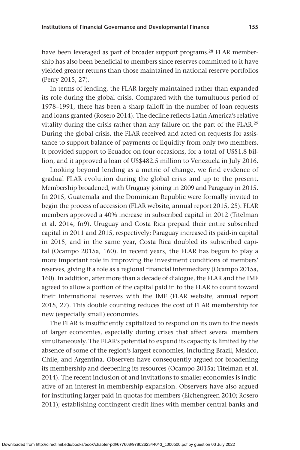have been leveraged as part of broader support programs.<sup>28</sup> FLAR membership has also been beneficial to members since reserves committed to it have yielded greater returns than those maintained in national reserve portfolios (Perry 2015, 27).

In terms of lending, the FLAR largely maintained rather than expanded its role during the global crisis. Compared with the tumultuous period of 1978–1991, there has been a sharp falloff in the number of loan requests and loans granted (Rosero 2014). The decline reflects Latin America's relative vitality during the crisis rather than any failure on the part of the FLAR.29 During the global crisis, the FLAR received and acted on requests for assistance to support balance of payments or liquidity from only two members. It provided support to Ecuador on four occasions, for a total of US\$1.8 billion, and it approved a loan of US\$482.5 million to Venezuela in July 2016.

Looking beyond lending as a metric of change, we find evidence of gradual FLAR evolution during the global crisis and up to the present. Membership broadened, with Uruguay joining in 2009 and Paraguay in 2015. In 2015, Guatemala and the Dominican Republic were formally invited to begin the process of accession (FLAR website, annual report 2015, 25). FLAR members approved a 40% increase in subscribed capital in 2012 (Titelman et al. 2014, fn9). Uruguay and Costa Rica prepaid their entire subscribed capital in 2011 and 2015, respectively; Paraguay increased its paid-in capital in 2015, and in the same year, Costa Rica doubled its subscribed capital (Ocampo 2015a, 160). In recent years, the FLAR has begun to play a more important role in improving the investment conditions of members' reserves, giving it a role as a regional financial intermediary (Ocampo 2015a, 160). In addition, after more than a decade of dialogue, the FLAR and the IMF agreed to allow a portion of the capital paid in to the FLAR to count toward their international reserves with the IMF (FLAR website, annual report 2015, 27). This double counting reduces the cost of FLAR membership for new (especially small) economies.

The FLAR is insufficiently capitalized to respond on its own to the needs of larger economies, especially during crises that affect several members simultaneously. The FLAR's potential to expand its capacity is limited by the absence of some of the region's largest economies, including Brazil, Mexico, Chile, and Argentina. Observers have consequently argued for broadening its membership and deepening its resources (Ocampo 2015a; Titelman et al. 2014). The recent inclusion of and invitations to smaller economies is indicative of an interest in membership expansion. Observers have also argued for instituting larger paid-in quotas for members (Eichengreen 2010; Rosero 2011); establishing contingent credit lines with member central banks and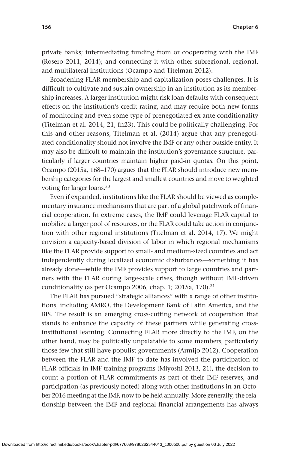private banks; intermediating funding from or cooperating with the IMF (Rosero 2011; 2014); and connecting it with other subregional, regional, and multilateral institutions (Ocampo and Titelman 2012).

Broadening FLAR membership and capitalization poses challenges. It is difficult to cultivate and sustain ownership in an institution as its membership increases. A larger institution might risk loan defaults with consequent effects on the institution's credit rating, and may require both new forms of monitoring and even some type of prenegotiated ex ante conditionality (Titelman et al. 2014, 21, fn23). This could be politically challenging. For this and other reasons, Titelman et al. (2014) argue that any prenegotiated conditionality should not involve the IMF or any other outside entity. It may also be difficult to maintain the institution's governance structure, particularly if larger countries maintain higher paid-in quotas. On this point, Ocampo (2015a, 168–170) argues that the FLAR should introduce new membership categories for the largest and smallest countries and move to weighted voting for larger loans.30

Even if expanded, institutions like the FLAR should be viewed as complementary insurance mechanisms that are part of a global patchwork of financial cooperation. In extreme cases, the IMF could leverage FLAR capital to mobilize a larger pool of resources, or the FLAR could take action in conjunction with other regional institutions (Titelman et al. 2014, 17). We might envision a capacity-based division of labor in which regional mechanisms like the FLAR provide support to small- and medium-sized countries and act independently during localized economic disturbances—something it has already done—while the IMF provides support to large countries and partners with the FLAR during large-scale crises, though without IMF-driven conditionality (as per Ocampo 2006, chap. 1; 2015a, 170).<sup>31</sup>

The FLAR has pursued "strategic alliances" with a range of other institutions, including AMRO, the Development Bank of Latin America, and the BIS. The result is an emerging cross-cutting network of cooperation that stands to enhance the capacity of these partners while generating crossinstitutional learning. Connecting FLAR more directly to the IMF, on the other hand, may be politically unpalatable to some members, particularly those few that still have populist governments (Armijo 2012). Cooperation between the FLAR and the IMF to date has involved the participation of FLAR officials in IMF training programs (Miyoshi 2013, 21), the decision to count a portion of FLAR commitments as part of their IMF reserves, and participation (as previously noted) along with other institutions in an October 2016 meeting at the IMF, now to be held annually. More generally, the relationship between the IMF and regional financial arrangements has always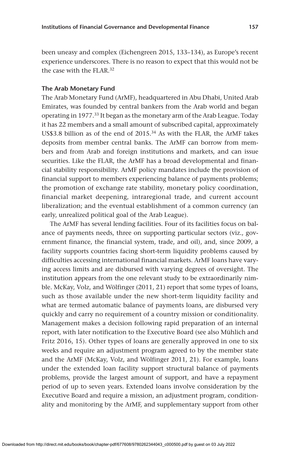been uneasy and complex (Eichengreen 2015, 133–134), as Europe's recent experience underscores. There is no reason to expect that this would not be the case with the  $FIAR$ <sup>32</sup>

#### **The Arab Monetary Fund**

The Arab Monetary Fund (ArMF), headquartered in Abu Dhabi, United Arab Emirates, was founded by central bankers from the Arab world and began operating in 1977.33 It began as the monetary arm of the Arab League. Today it has 22 members and a small amount of subscribed capital, approximately US\$3.8 billion as of the end of 2015.34 As with the FLAR, the ArMF takes deposits from member central banks. The ArMF can borrow from members and from Arab and foreign institutions and markets, and can issue securities. Like the FLAR, the ArMF has a broad developmental and financial stability responsibility. ArMF policy mandates include the provision of financial support to members experiencing balance of payments problems; the promotion of exchange rate stability, monetary policy coordination, financial market deepening, intraregional trade, and current account liberalization; and the eventual establishment of a common currency (an early, unrealized political goal of the Arab League).

The ArMF has several lending facilities. Four of its facilities focus on balance of payments needs, three on supporting particular sectors (viz., government finance, the financial system, trade, and oil), and, since 2009, a facility supports countries facing short-term liquidity problems caused by difficulties accessing international financial markets. ArMF loans have varying access limits and are disbursed with varying degrees of oversight. The institution appears from the one relevant study to be extraordinarily nimble. McKay, Volz, and Wölfinger (2011, 21) report that some types of loans, such as those available under the new short-term liquidity facility and what are termed automatic balance of payments loans, are disbursed very quickly and carry no requirement of a country mission or conditionality. Management makes a decision following rapid preparation of an internal report, with later notification to the Executive Board (see also Mühlich and Fritz 2016, 15). Other types of loans are generally approved in one to six weeks and require an adjustment program agreed to by the member state and the ArMF (McKay, Volz, and Wölfinger 2011, 21). For example, loans under the extended loan facility support structural balance of payments problems, provide the largest amount of support, and have a repayment period of up to seven years. Extended loans involve consideration by the Executive Board and require a mission, an adjustment program, conditionality and monitoring by the ArMF, and supplementary support from other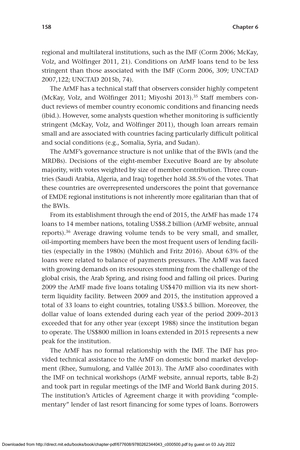regional and multilateral institutions, such as the IMF (Corm 2006; McKay, Volz, and Wölfinger 2011, 21). Conditions on ArMF loans tend to be less stringent than those associated with the IMF (Corm 2006, 309; UNCTAD 2007,122; UNCTAD 2015b, 74).

The ArMF has a technical staff that observers consider highly competent (McKay, Volz, and Wölfinger 2011; Miyoshi 2013).<sup>35</sup> Staff members conduct reviews of member country economic conditions and financing needs (ibid.). However, some analysts question whether monitoring is sufficiently stringent (McKay, Volz, and Wölfinger 2011), though loan arrears remain small and are associated with countries facing particularly difficult political and social conditions (e.g., Somalia, Syria, and Sudan).

The ArMF's governance structure is not unlike that of the BWIs (and the MRDBs). Decisions of the eight-member Executive Board are by absolute majority, with votes weighted by size of member contribution. Three countries (Saudi Arabia, Algeria, and Iraq) together hold 38.5% of the votes. That these countries are overrepresented underscores the point that governance of EMDE regional institutions is not inherently more egalitarian than that of the BWIs.

From its establishment through the end of 2015, the ArMF has made 174 loans to 14 member nations, totaling US\$8.2 billion (ArMF website, annual reports).36 Average drawing volume tends to be very small, and smaller, oil-importing members have been the most frequent users of lending facilities (especially in the 1980s) (Mühlich and Fritz 2016). About 63% of the loans were related to balance of payments pressures. The ArMF was faced with growing demands on its resources stemming from the challenge of the global crisis, the Arab Spring, and rising food and falling oil prices. During 2009 the ArMF made five loans totaling US\$470 million via its new shortterm liquidity facility. Between 2009 and 2015, the institution approved a total of 33 loans to eight countries, totaling US\$3.5 billion. Moreover, the dollar value of loans extended during each year of the period 2009–2013 exceeded that for any other year (except 1988) since the institution began to operate. The US\$800 million in loans extended in 2015 represents a new peak for the institution.

The ArMF has no formal relationship with the IMF. The IMF has provided technical assistance to the ArMF on domestic bond market development (Rhee, Sumulong, and Vallée 2013). The ArMF also coordinates with the IMF on technical workshops (ArMF website, annual reports, table B-2) and took part in regular meetings of the IMF and World Bank during 2015. The institution's Articles of Agreement charge it with providing "complementary" lender of last resort financing for some types of loans. Borrowers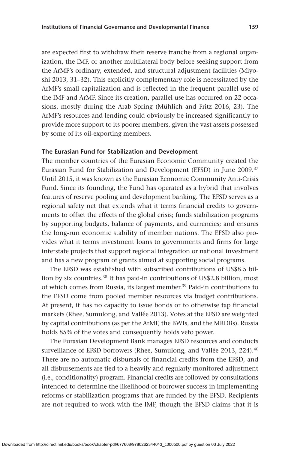are expected first to withdraw their reserve tranche from a regional organization, the IMF, or another multilateral body before seeking support from the ArMF's ordinary, extended, and structural adjustment facilities (Miyoshi 2013, 31–32). This explicitly complementary role is necessitated by the ArMF's small capitalization and is reflected in the frequent parallel use of the IMF and ArMF. Since its creation, parallel use has occurred on 22 occasions, mostly during the Arab Spring (Mühlich and Fritz 2016, 23). The ArMF's resources and lending could obviously be increased significantly to provide more support to its poorer members, given the vast assets possessed by some of its oil-exporting members.

#### **The Eurasian Fund for Stabilization and Development**

The member countries of the Eurasian Economic Community created the Eurasian Fund for Stabilization and Development (EFSD) in June 2009.37 Until 2015, it was known as the Eurasian Economic Community Anti-Crisis Fund. Since its founding, the Fund has operated as a hybrid that involves features of reserve pooling and development banking. The EFSD serves as a regional safety net that extends what it terms financial credits to governments to offset the effects of the global crisis; funds stabilization programs by supporting budgets, balance of payments, and currencies; and ensures the long-run economic stability of member nations. The EFSD also provides what it terms investment loans to governments and firms for large interstate projects that support regional integration or national investment and has a new program of grants aimed at supporting social programs.

The EFSD was established with subscribed contributions of US\$8.5 billion by six countries.38 It has paid-in contributions of US\$2.8 billion, most of which comes from Russia, its largest member.39 Paid-in contributions to the EFSD come from pooled member resources via budget contributions. At present, it has no capacity to issue bonds or to otherwise tap financial markets (Rhee, Sumulong, and Vallée 2013). Votes at the EFSD are weighted by capital contributions (as per the ArMF, the BWIs, and the MRDBs). Russia holds 85% of the votes and consequently holds veto power.

The Eurasian Development Bank manages EFSD resources and conducts surveillance of EFSD borrowers (Rhee, Sumulong, and Vallée 2013, 224).<sup>40</sup> There are no automatic disbursals of financial credits from the EFSD, and all disbursements are tied to a heavily and regularly monitored adjustment (i.e., conditionality) program. Financial credits are followed by consultations intended to determine the likelihood of borrower success in implementing reforms or stabilization programs that are funded by the EFSD. Recipients are not required to work with the IMF, though the EFSD claims that it is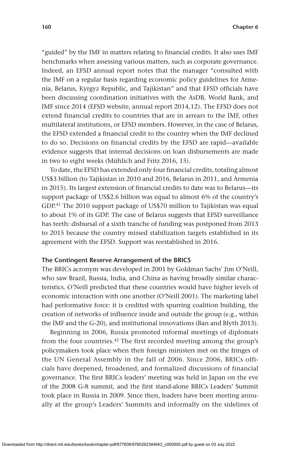"guided" by the IMF in matters relating to financial credits. It also uses IMF benchmarks when assessing various matters, such as corporate governance. Indeed, an EFSD annual report notes that the manager "consulted with the IMF on a regular basis regarding economic policy guidelines for Armenia, Belarus, Kyrgyz Republic, and Tajikistan" and that EFSD officials have been discussing coordination initiatives with the AsDB, World Bank, and IMF since 2014 (EFSD website, annual report 2014,12). The EFSD does not extend financial credits to countries that are in arrears to the IMF, other multilateral institutions, or EFSD members. However, in the case of Belarus, the EFSD extended a financial credit to the country when the IMF declined to do so. Decisions on financial credits by the EFSD are rapid—available evidence suggests that internal decisions on loan disbursements are made in two to eight weeks (Mühlich and Fritz 2016, 15).

To date, the EFSD has extended only four financial credits, totaling almost US\$3 billion (to Tajikistan in 2010 and 2016, Belarus in 2011, and Armenia in 2015). Its largest extension of financial credits to date was to Belarus—its support package of US\$2.6 billion was equal to almost 6% of the country's GDP.41 The 2010 support package of US\$70 million to Tajikistan was equal to about 1% of its GDP. The case of Belarus suggests that EFSD surveillance has teeth: disbursal of a sixth tranche of funding was postponed from 2013 to 2015 because the country missed stabilization targets established in its agreement with the EFSD. Support was reestablished in 2016.

#### **The Contingent Reserve Arrangement of the BRICS**

The BRICs acronym was developed in 2001 by Goldman Sachs' Jim O'Neill, who saw Brazil, Russia, India, and China as having broadly similar characteristics. O'Neill predicted that these countries would have higher levels of economic interaction with one another (O'Neill 2001). The marketing label had performative force: it is credited with spurring coalition building, the creation of networks of influence inside and outside the group (e.g., within the IMF and the G-20), and institutional innovations (Ban and Blyth 2013).

Beginning in 2006, Russia promoted informal meetings of diplomats from the four countries.42 The first recorded meeting among the group's policymakers took place when their foreign ministers met on the fringes of the UN General Assembly in the fall of 2006. Since 2006, BRICs officials have deepened, broadened, and formalized discussions of financial governance. The first BRICs leaders' meeting was held in Japan on the eve of the 2008 G-8 summit, and the first stand-alone BRICs Leaders' Summit took place in Russia in 2009. Since then, leaders have been meeting annually at the group's Leaders' Summits and informally on the sidelines of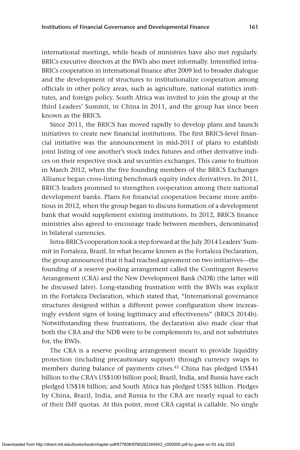international meetings, while heads of ministries have also met regularly. BRICs executive directors at the BWIs also meet informally. Intensified intra-BRICs cooperation in international finance after 2009 led to broader dialogue and the development of structures to institutionalize cooperation among officials in other policy areas, such as agriculture, national statistics institutes, and foreign policy. South Africa was invited to join the group at the third Leaders' Summit, in China in 2011, and the group has since been known as the BRICS.

Since 2011, the BRICS has moved rapidly to develop plans and launch initiatives to create new financial institutions. The first BRICS-level financial initiative was the announcement in mid-2011 of plans to establish joint listing of one another's stock index futures and other derivative indices on their respective stock and securities exchanges. This came to fruition in March 2012, when the five founding members of the BRICS Exchanges Alliance began cross-listing benchmark equity index derivatives. In 2011, BRICS leaders promised to strengthen cooperation among their national development banks. Plans for financial cooperation became more ambitious in 2012, when the group began to discuss formation of a development bank that would supplement existing institutions. In 2012, BRICS finance ministries also agreed to encourage trade between members, denominated in bilateral currencies.

Intra-BRICS cooperation took a step forward at the July 2014 Leaders' Summit in Fortaleza, Brazil. In what became known as the Fortaleza Declaration, the group announced that it had reached agreement on two initiatives—the founding of a reserve pooling arrangement called the Contingent Reserve Arrangement (CRA) and the New Development Bank (NDB) (the latter will be discussed later). Long-standing frustration with the BWIs was explicit in the Fortaleza Declaration, which stated that, "International governance structures designed within a different power configuration show increasingly evident signs of losing legitimacy and effectiveness" (BRICS 2014b). Notwithstanding these frustrations, the declaration also made clear that both the CRA and the NDB were to be complements to, and not substitutes for, the BWIs.

The CRA is a reserve pooling arrangement meant to provide liquidity protection (including precautionary support) through currency swaps to members during balance of payments crises.<sup>43</sup> China has pledged US\$41 billion to the CRA's US\$100 billion pool; Brazil, India, and Russia have each pledged US\$18 billion; and South Africa has pledged US\$5 billion. Pledges by China, Brazil, India, and Russia to the CRA are nearly equal to each of their IMF quotas. At this point, most CRA capital is callable. No single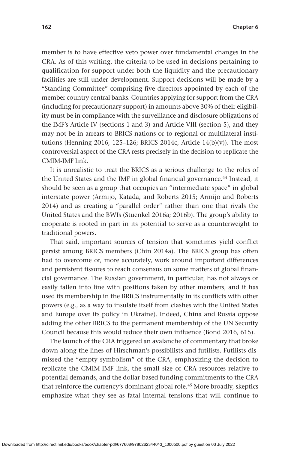member is to have effective veto power over fundamental changes in the CRA. As of this writing, the criteria to be used in decisions pertaining to qualification for support under both the liquidity and the precautionary facilities are still under development. Support decisions will be made by a "Standing Committee" comprising five directors appointed by each of the member country central banks. Countries applying for support from the CRA (including for precautionary support) in amounts above 30% of their eligibility must be in compliance with the surveillance and disclosure obligations of the IMF's Article IV (sections 1 and 3) and Article VIII (section 5), and they may not be in arrears to BRICS nations or to regional or multilateral institutions (Henning 2016, 125–126; BRICS 2014c, Article  $14(b)(v)$ ). The most controversial aspect of the CRA rests precisely in the decision to replicate the CMIM-IMF link.

It is unrealistic to treat the BRICS as a serious challenge to the roles of the United States and the IMF in global financial governance.<sup>44</sup> Instead, it should be seen as a group that occupies an "intermediate space" in global interstate power (Armijo, Katada, and Roberts 2015; Armijo and Roberts 2014) and as creating a "parallel order" rather than one that rivals the United States and the BWIs (Stuenkel 2016a; 2016b). The group's ability to cooperate is rooted in part in its potential to serve as a counterweight to traditional powers.

That said, important sources of tension that sometimes yield conflict persist among BRICS members (Chin 2014a). The BRICS group has often had to overcome or, more accurately, work around important differences and persistent fissures to reach consensus on some matters of global financial governance. The Russian government, in particular, has not always or easily fallen into line with positions taken by other members, and it has used its membership in the BRICS instrumentally in its conflicts with other powers (e.g., as a way to insulate itself from clashes with the United States and Europe over its policy in Ukraine). Indeed, China and Russia oppose adding the other BRICS to the permanent membership of the UN Security Council because this would reduce their own influence (Bond 2016, 615).

The launch of the CRA triggered an avalanche of commentary that broke down along the lines of Hirschman's possibilists and futilists. Futilists dismissed the "empty symbolism" of the CRA, emphasizing the decision to replicate the CMIM-IMF link, the small size of CRA resources relative to potential demands, and the dollar-based funding commitments to the CRA that reinforce the currency's dominant global role.45 More broadly, skeptics emphasize what they see as fatal internal tensions that will continue to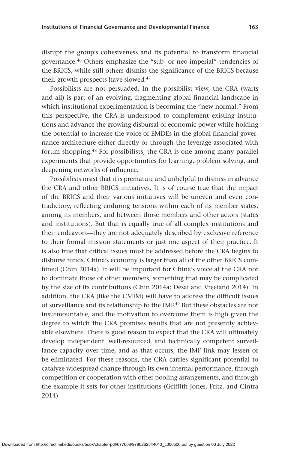disrupt the group's cohesiveness and its potential to transform financial governance.46 Others emphasize the "sub- or neo-imperial" tendencies of the BRICS, while still others dismiss the significance of the BRICS because their growth prospects have slowed.<sup>47</sup>

Possibilists are not persuaded. In the possibilist view, the CRA (warts and all) is part of an evolving, fragmenting global financial landscape in which institutional experimentation is becoming the "new normal." From this perspective, the CRA is understood to complement existing institutions and advance the growing disbursal of economic power while holding the potential to increase the voice of EMDEs in the global financial governance architecture either directly or through the leverage associated with forum shopping.48 For possibilists, the CRA is one among many parallel experiments that provide opportunities for learning, problem solving, and deepening networks of influence.

Possibilists insist that it is premature and unhelpful to dismiss in advance the CRA and other BRICS initiatives. It is of course true that the impact of the BRICS and their various initiatives will be uneven and even contradictory, reflecting enduring tensions within each of its member states, among its members, and between those members and other actors (states and institutions). But that is equally true of all complex institutions and their endeavors—they are not adequately described by exclusive reference to their formal mission statements or just one aspect of their practice. It is also true that critical issues must be addressed before the CRA begins to disburse funds. China's economy is larger than all of the other BRICS combined (Chin 2014a). It will be important for China's voice at the CRA not to dominate those of other members, something that may be complicated by the size of its contributions (Chin 2014a; Desai and Vreeland 2014). In addition, the CRA (like the CMIM) will have to address the difficult issues of surveillance and its relationship to the IMF.<sup>49</sup> But these obstacles are not insurmountable, and the motivation to overcome them is high given the degree to which the CRA promises results that are not presently achievable elsewhere. There is good reason to expect that the CRA will ultimately develop independent, well-resourced, and technically competent surveillance capacity over time, and as that occurs, the IMF link may lessen or be eliminated. For these reasons, the CRA carries significant potential to catalyze widespread change through its own internal performance, through competition or cooperation with other pooling arrangements, and through the example it sets for other institutions (Griffith-Jones, Fritz, and Cintra 2014).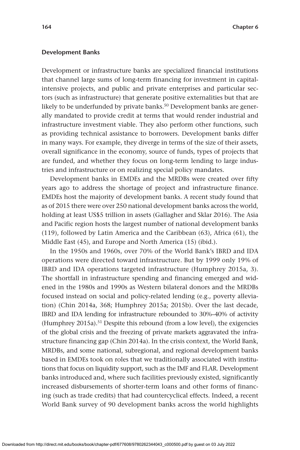#### **Development Banks**

Development or infrastructure banks are specialized financial institutions that channel large sums of long-term financing for investment in capitalintensive projects, and public and private enterprises and particular sectors (such as infrastructure) that generate positive externalities but that are likely to be underfunded by private banks.<sup>50</sup> Development banks are generally mandated to provide credit at terms that would render industrial and infrastructure investment viable. They also perform other functions, such as providing technical assistance to borrowers. Development banks differ in many ways. For example, they diverge in terms of the size of their assets, overall significance in the economy, source of funds, types of projects that are funded, and whether they focus on long-term lending to large industries and infrastructure or on realizing special policy mandates.

Development banks in EMDEs and the MRDBs were created over fifty years ago to address the shortage of project and infrastructure finance. EMDEs host the majority of development banks. A recent study found that as of 2015 there were over 250 national development banks across the world, holding at least US\$5 trillion in assets (Gallagher and Sklar 2016). The Asia and Pacific region hosts the largest number of national development banks (119), followed by Latin America and the Caribbean (63), Africa (61), the Middle East (45), and Europe and North America (15) (ibid.).

In the 1950s and 1960s, over 70% of the World Bank's IBRD and IDA operations were directed toward infrastructure. But by 1999 only 19% of IBRD and IDA operations targeted infrastructure (Humphrey 2015a, 3). The shortfall in infrastructure spending and financing emerged and widened in the 1980s and 1990s as Western bilateral donors and the MRDBs focused instead on social and policy-related lending (e.g., poverty alleviation) (Chin 2014a, 368; Humphrey 2015a; 2015b). Over the last decade, IBRD and IDA lending for infrastructure rebounded to 30%–40% of activity (Humphrey  $2015a$ ).<sup>51</sup> Despite this rebound (from a low level), the exigencies of the global crisis and the freezing of private markets aggravated the infrastructure financing gap (Chin 2014a). In the crisis context, the World Bank, MRDBs, and some national, subregional, and regional development banks based in EMDEs took on roles that we traditionally associated with institutions that focus on liquidity support, such as the IMF and FLAR. Development banks introduced and, where such facilities previously existed, significantly increased disbursements of shorter-term loans and other forms of financing (such as trade credits) that had countercyclical effects. Indeed, a recent World Bank survey of 90 development banks across the world highlights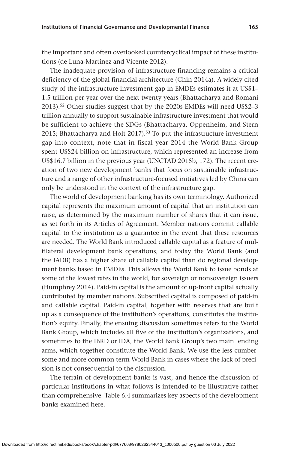the important and often overlooked countercyclical impact of these institutions (de Luna-Martínez and Vicente 2012).

The inadequate provision of infrastructure financing remains a critical deficiency of the global financial architecture (Chin 2014a). A widely cited study of the infrastructure investment gap in EMDEs estimates it at US\$1– 1.5 trillion per year over the next twenty years (Bhattacharya and Romani 2013).52 Other studies suggest that by the 2020s EMDEs will need US\$2–3 trillion annually to support sustainable infrastructure investment that would be sufficient to achieve the SDGs (Bhattacharya, Oppenheim, and Stern 2015; Bhattacharya and Holt 2017).<sup>53</sup> To put the infrastructure investment gap into context, note that in fiscal year 2014 the World Bank Group spent US\$24 billion on infrastructure, which represented an increase from US\$16.7 billion in the previous year (UNCTAD 2015b, 172). The recent creation of two new development banks that focus on sustainable infrastructure and a range of other infrastructure-focused initiatives led by China can only be understood in the context of the infrastructure gap.

The world of development banking has its own terminology. Authorized capital represents the maximum amount of capital that an institution can raise, as determined by the maximum number of shares that it can issue, as set forth in its Articles of Agreement. Member nations commit callable capital to the institution as a guarantee in the event that these resources are needed. The World Bank introduced callable capital as a feature of multilateral development bank operations, and today the World Bank (and the IADB) has a higher share of callable capital than do regional development banks based in EMDEs. This allows the World Bank to issue bonds at some of the lowest rates in the world, for sovereign or nonsovereign issuers (Humphrey 2014). Paid-in capital is the amount of up-front capital actually contributed by member nations. Subscribed capital is composed of paid-in and callable capital. Paid-in capital, together with reserves that are built up as a consequence of the institution's operations, constitutes the institution's equity. Finally, the ensuing discussion sometimes refers to the World Bank Group, which includes all five of the institution's organizations, and sometimes to the IBRD or IDA, the World Bank Group's two main lending arms, which together constitute the World Bank. We use the less cumbersome and more common term World Bank in cases where the lack of precision is not consequential to the discussion.

The terrain of development banks is vast, and hence the discussion of particular institutions in what follows is intended to be illustrative rather than comprehensive. Table 6.4 summarizes key aspects of the development banks examined here.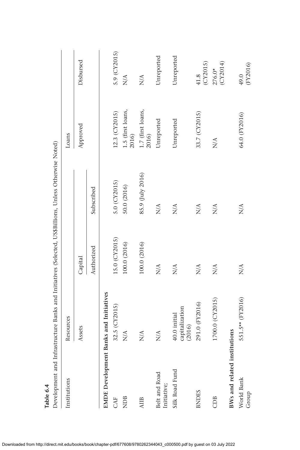|                              | Development and Infrastructure Banks and Initiatives (Selected, US\$Billions, Unless Otherwise Noted) |                                                   |                                                   |                            |                    |
|------------------------------|-------------------------------------------------------------------------------------------------------|---------------------------------------------------|---------------------------------------------------|----------------------------|--------------------|
| Institutions                 | Resources                                                                                             |                                                   |                                                   | Loans                      |                    |
|                              | Assets                                                                                                | Capital                                           |                                                   | Approved                   | Disbursed          |
|                              |                                                                                                       | Authorized                                        | Subscribed                                        |                            |                    |
|                              | <b>EMDE</b> Development Banks and Initiatives                                                         |                                                   |                                                   |                            |                    |
| CAF                          | 32.5 (CY2015)                                                                                         | 15.0 (CY2015)                                     | 5.0 (CY2015)                                      | 12.3 (CY2015)              | 5.9 (CY2015)       |
| <b>NDB</b>                   | $\stackrel{\triangle}{\scriptstyle\sim}$                                                              | 100.0 (2016)                                      | 50.0 (2016)                                       | 1.5 (first loans,<br>2016) | $\frac{1}{N}$      |
| <b>AIIB</b>                  | $\mathop{\rm N}\nolimits\!mathop{\rm A}\nolimits$                                                     | 100.0 (2016)                                      | 85.9 (July 2016)                                  | 1.7 (first loans,<br>2016) | $\frac{A}{N}$      |
| Belt and Road<br>Initiative; | $\mathop{\rm N}\nolimits\!mathop{\rm A}\nolimits$                                                     | $\mathop{\rm N}\nolimits\!\!\!\!\!\!/\Lambda$     | $\mathop{\rm N}\nolimits\!mathop{\rm A}\nolimits$ | Unreported                 | Unreported         |
| Silk Road Fund               | capitalization<br>40.0 initial<br>(2016)                                                              | $\sum_{i=1}^{n}$                                  | $\sum_{i=1}^{n}$                                  | Unreported                 | Unreported         |
| <b>BNDES</b>                 | 291.0 (FY2016)                                                                                        | $\mathop{\rm N}\nolimits\!\!\!\!\!\!/\Lambda$     | $\mathop{\rm N}\nolimits\!\!\!\!\!\!/\Lambda$     | 33.7 (CY2015)              | (CY2015)<br>41.8   |
| CDB                          | 1700.0 (CY2015)                                                                                       | $\mathop{\rm N/A}\nolimits$                       | $\sum_{i=1}^{n}$                                  | $\sum_{i=1}^{n}$           | (CY2014)<br>276.0* |
| BWs and related institutions |                                                                                                       |                                                   |                                                   |                            |                    |
| World Bank<br>Group          | 551.5** (FY2016)                                                                                      | $\mathop{\rm N}\nolimits\!mathop{\rm A}\nolimits$ | N/A                                               | 64.0 (FY2016)              | (FY2016)<br>49.0   |

Table 6.4 **Table 6.4**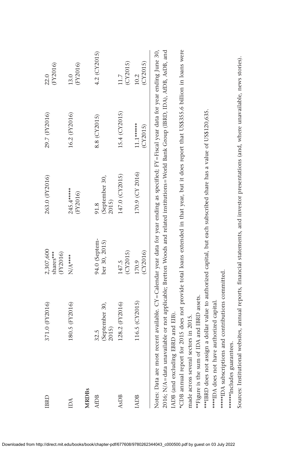| <b>IBRD</b>                                                                         | 371.0 (FY2016)                                                                                                                                                                                                                                                                | 2,307,600<br>shares***<br>(FY2016) | 263.0 (FY2016)                  | 29.7 (FY2016)       | (FY2016)<br>22.0 |
|-------------------------------------------------------------------------------------|-------------------------------------------------------------------------------------------------------------------------------------------------------------------------------------------------------------------------------------------------------------------------------|------------------------------------|---------------------------------|---------------------|------------------|
| IDA                                                                                 | 180.5 (FY2016)                                                                                                                                                                                                                                                                | $N/A***$                           | 245.4******<br>(FY2016)         | 16.2 (FY2016)       | (FY2016)<br>13.0 |
| <b>MRDBs</b>                                                                        |                                                                                                                                                                                                                                                                               |                                    |                                 |                     |                  |
| AfDB                                                                                | (September 30,<br>2015)<br>32.5                                                                                                                                                                                                                                               | 94.0 (Septem-<br>ber 30, 2015)     | (September 30,<br>2015)<br>91.8 | 8.8 (CY2015)        | 4.2 (CY2015)     |
| AsDB                                                                                | 128.2 (FY2016)                                                                                                                                                                                                                                                                | (CY2015)<br>147.5                  | 147.0 (CY2015)                  | 15.4 (CY2015)       | CY2015<br>11.7   |
| <b>IADB</b>                                                                         | 116.5 (CY2015)                                                                                                                                                                                                                                                                | CY2016<br>170.9                    | 170.9 (CY 2016)                 | $11.1***$<br>CY2015 | CY2015)<br>10.2  |
| IADB (and excluding EBRD and EIB).                                                  | 2016; N/A=data unavailable or not applicable; Bretton Woods and related institutions=World Bank Group (IBRD; IDA), AfDB, AsDB, and<br>Notes: Data are most recent available. CY=Calendar year data for year ending as specified; FY=Fiscal year data for year ending June 30, |                                    |                                 |                     |                  |
| **Figure is the sum of IDA and IBRD assets.<br>made across several sectors in 2015. | *CDB annual report for 2015 does not provide total loans extended in that year, but it does report that US\$355.6 billion in loans were                                                                                                                                       |                                    |                                 |                     |                  |
|                                                                                     |                                                                                                                                                                                                                                                                               |                                    |                                 |                     |                  |

\*\*\*IBRD does not assign a dollar value to authorized capital, but each subscribed share has a value of US\$120,635. \*\*\*IBRD does not assign a dollar value to authorized capital, but each subscribed share has a value of US\$120,635.

\*\*\*\*IDA does not have authorized capital. \*\*\*\*IDA does not have authorized capital. \*\*\*\*\*IDA subscriptions and contributions committed. \*\*\*\*\*IDA subscriptions and contributions committed.

\*\*\*\*\*\*Includes guarantees. \*\*\*\*\*\*Includes guarantees.

Sources: Institutional websites, annual reports, financial statements, and investor presentations (and, where unavailable, news stories). Sources: Institutional websites, annual reports, financial statements, and investor presentations (and, where unavailable, news stories).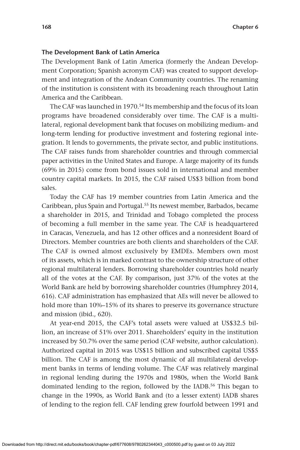#### **The Development Bank of Latin America**

The Development Bank of Latin America (formerly the Andean Development Corporation; Spanish acronym CAF) was created to support development and integration of the Andean Community countries. The renaming of the institution is consistent with its broadening reach throughout Latin America and the Caribbean.

The CAF was launched in 1970.<sup>54</sup> Its membership and the focus of its loan programs have broadened considerably over time. The CAF is a multilateral, regional development bank that focuses on mobilizing medium- and long-term lending for productive investment and fostering regional integration. It lends to governments, the private sector, and public institutions. The CAF raises funds from shareholder countries and through commercial paper activities in the United States and Europe. A large majority of its funds (69% in 2015) come from bond issues sold in international and member country capital markets. In 2015, the CAF raised US\$3 billion from bond sales.

Today the CAF has 19 member countries from Latin America and the Caribbean, plus Spain and Portugal.55 Its newest member, Barbados, became a shareholder in 2015, and Trinidad and Tobago completed the process of becoming a full member in the same year. The CAF is headquartered in Caracas, Venezuela, and has 12 other offices and a nonresident Board of Directors. Member countries are both clients and shareholders of the CAF. The CAF is owned almost exclusively by EMDEs. Members own most of its assets, which is in marked contrast to the ownership structure of other regional multilateral lenders. Borrowing shareholder countries hold nearly all of the votes at the CAF. By comparison, just 37% of the votes at the World Bank are held by borrowing shareholder countries (Humphrey 2014, 616). CAF administration has emphasized that AEs will never be allowed to hold more than 10%–15% of its shares to preserve its governance structure and mission (ibid., 620).

At year-end 2015, the CAF's total assets were valued at US\$32.5 billion, an increase of 51% over 2011. Shareholders' equity in the institution increased by 50.7% over the same period (CAF website, author calculation). Authorized capital in 2015 was US\$15 billion and subscribed capital US\$5 billion. The CAF is among the most dynamic of all multilateral development banks in terms of lending volume. The CAF was relatively marginal in regional lending during the 1970s and 1980s, when the World Bank dominated lending to the region, followed by the IADB.<sup>56</sup> This began to change in the 1990s, as World Bank and (to a lesser extent) IADB shares of lending to the region fell. CAF lending grew fourfold between 1991 and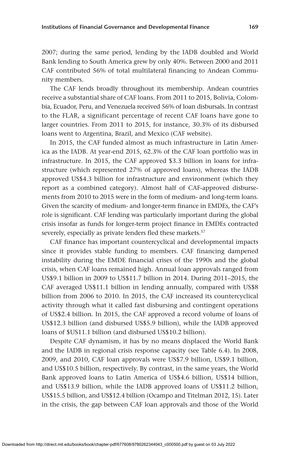2007; during the same period, lending by the IADB doubled and World Bank lending to South America grew by only 40%. Between 2000 and 2011 CAF contributed 56% of total multilateral financing to Andean Community members.

The CAF lends broadly throughout its membership. Andean countries receive a substantial share of CAF loans. From 2011 to 2015, Bolivia, Colombia, Ecuador, Peru, and Venezuela received 56% of loan disbursals. In contrast to the FLAR, a significant percentage of recent CAF loans have gone to larger countries. From 2011 to 2015, for instance, 30.3% of its disbursed loans went to Argentina, Brazil, and Mexico (CAF website).

In 2015, the CAF funded almost as much infrastructure in Latin America as the IADB. At year-end 2015, 62.3% of the CAF loan portfolio was in infrastructure. In 2015, the CAF approved \$3.3 billion in loans for infrastructure (which represented 27% of approved loans), whereas the IADB approved US\$4.3 billion for infrastructure and environment (which they report as a combined category). Almost half of CAF-approved disbursements from 2010 to 2015 were in the form of medium- and long-term loans. Given the scarcity of medium- and longer-term finance in EMDEs, the CAF's role is significant. CAF lending was particularly important during the global crisis insofar as funds for longer-term project finance in EMDEs contracted severely, especially as private lenders fled these markets.<sup>57</sup>

CAF finance has important countercyclical and developmental impacts since it provides stable funding to members. CAF financing dampened instability during the EMDE financial crises of the 1990s and the global crisis, when CAF loans remained high. Annual loan approvals ranged from US\$9.1 billion in 2009 to US\$11.7 billion in 2014. During 2011–2015, the CAF averaged US\$11.1 billion in lending annually, compared with US\$8 billion from 2006 to 2010. In 2015, the CAF increased its countercyclical activity through what it called fast disbursing and contingent operations of US\$2.4 billion. In 2015, the CAF approved a record volume of loans of US\$12.3 billion (and disbursed US\$5.9 billion), while the IADB approved loans of \$US11.1 billion (and disbursed US\$10.2 billion).

Despite CAF dynamism, it has by no means displaced the World Bank and the IADB in regional crisis response capacity (see Table 6.4). In 2008, 2009, and 2010, CAF loan approvals were US\$7.9 billion, US\$9.1 billion, and US\$10.5 billion, respectively. By contrast, in the same years, the World Bank approved loans to Latin America of US\$4.6 billion, US\$14 billion, and US\$13.9 billion, while the IADB approved loans of US\$11.2 billion, US\$15.5 billion, and US\$12.4 billion (Ocampo and Titelman 2012, 15). Later in the crisis, the gap between CAF loan approvals and those of the World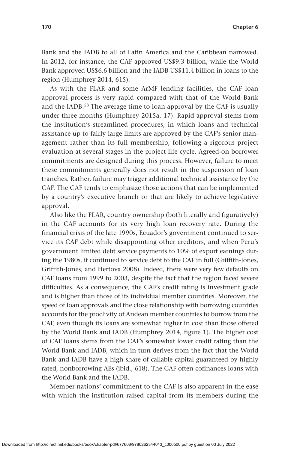Bank and the IADB to all of Latin America and the Caribbean narrowed. In 2012, for instance, the CAF approved US\$9.3 billion, while the World Bank approved US\$6.6 billion and the IADB US\$11.4 billion in loans to the region (Humphrey 2014, 615).

As with the FLAR and some ArMF lending facilities, the CAF loan approval process is very rapid compared with that of the World Bank and the IADB.<sup>58</sup> The average time to loan approval by the CAF is usually under three months (Humphrey 2015a, 17). Rapid approval stems from the institution's streamlined procedures, in which loans and technical assistance up to fairly large limits are approved by the CAF's senior management rather than its full membership, following a rigorous project evaluation at several stages in the project life cycle. Agreed-on borrower commitments are designed during this process. However, failure to meet these commitments generally does not result in the suspension of loan tranches. Rather, failure may trigger additional technical assistance by the CAF. The CAF tends to emphasize those actions that can be implemented by a country's executive branch or that are likely to achieve legislative approval.

Also like the FLAR, country ownership (both literally and figuratively) in the CAF accounts for its very high loan recovery rate. During the financial crisis of the late 1990s, Ecuador's government continued to service its CAF debt while disappointing other creditors, and when Peru's government limited debt service payments to 10% of export earnings during the 1980s, it continued to service debt to the CAF in full (Griffith-Jones, Griffith-Jones, and Hertova 2008). Indeed, there were very few defaults on CAF loans from 1999 to 2003, despite the fact that the region faced severe difficulties. As a consequence, the CAF's credit rating is investment grade and is higher than those of its individual member countries. Moreover, the speed of loan approvals and the close relationship with borrowing countries accounts for the proclivity of Andean member countries to borrow from the CAF, even though its loans are somewhat higher in cost than those offered by the World Bank and IADB (Humphrey 2014, figure 1). The higher cost of CAF loans stems from the CAF's somewhat lower credit rating than the World Bank and IADB, which in turn derives from the fact that the World Bank and IADB have a high share of callable capital guaranteed by highly rated, nonborrowing AEs (ibid., 618). The CAF often cofinances loans with the World Bank and the IADB.

Member nations' commitment to the CAF is also apparent in the ease with which the institution raised capital from its members during the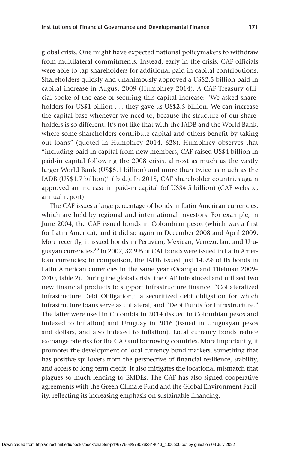global crisis. One might have expected national policymakers to withdraw from multilateral commitments. Instead, early in the crisis, CAF officials were able to tap shareholders for additional paid-in capital contributions. Shareholders quickly and unanimously approved a US\$2.5 billion paid-in capital increase in August 2009 (Humphrey 2014). A CAF Treasury official spoke of the ease of securing this capital increase: "We asked shareholders for US\$1 billion . . . they gave us US\$2.5 billion. We can increase the capital base whenever we need to, because the structure of our shareholders is so different. It's not like that with the IADB and the World Bank, where some shareholders contribute capital and others benefit by taking out loans" (quoted in Humphrey 2014, 628). Humphrey observes that "including paid-in capital from new members, CAF raised US\$4 billion in paid-in capital following the 2008 crisis, almost as much as the vastly larger World Bank (US\$5.1 billion) and more than twice as much as the

IADB (US\$1.7 billion)" (ibid.). In 2015, CAF shareholder countries again approved an increase in paid-in capital (of US\$4.5 billion) (CAF website, annual report).

The CAF issues a large percentage of bonds in Latin American currencies, which are held by regional and international investors. For example, in June 2004, the CAF issued bonds in Colombian pesos (which was a first for Latin America), and it did so again in December 2008 and April 2009. More recently, it issued bonds in Peruvian, Mexican, Venezuelan, and Uruguayan currencies.59 In 2007, 32.9% of CAF bonds were issued in Latin American currencies; in comparison, the IADB issued just 14.9% of its bonds in Latin American currencies in the same year (Ocampo and Titelman 2009– 2010, table 2). During the global crisis, the CAF introduced and utilized two new financial products to support infrastructure finance, "Collateralized Infrastructure Debt Obligation," a securitized debt obligation for which infrastructure loans serve as collateral, and "Debt Funds for Infrastructure." The latter were used in Colombia in 2014 (issued in Colombian pesos and indexed to inflation) and Uruguay in 2016 (issued in Uruguayan pesos and dollars, and also indexed to inflation). Local currency bonds reduce exchange rate risk for the CAF and borrowing countries. More importantly, it promotes the development of local currency bond markets, something that has positive spillovers from the perspective of financial resilience, stability, and access to long-term credit. It also mitigates the locational mismatch that plagues so much lending to EMDEs. The CAF has also signed cooperative agreements with the Green Climate Fund and the Global Environment Facility, reflecting its increasing emphasis on sustainable financing.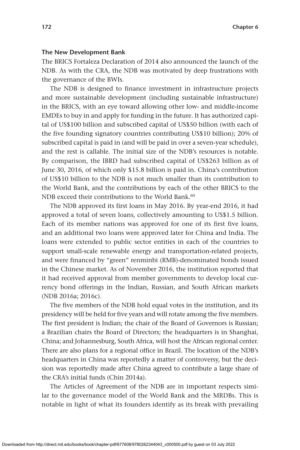#### **The New Development Bank**

The BRICS Fortaleza Declaration of 2014 also announced the launch of the NDB. As with the CRA, the NDB was motivated by deep frustrations with the governance of the BWIs.

The NDB is designed to finance investment in infrastructure projects and more sustainable development (including sustainable infrastructure) in the BRICS, with an eye toward allowing other low- and middle-income EMDEs to buy in and apply for funding in the future. It has authorized capital of US\$100 billion and subscribed capital of US\$50 billion (with each of the five founding signatory countries contributing US\$10 billion); 20% of subscribed capital is paid in (and will be paid in over a seven-year schedule), and the rest is callable. The initial size of the NDB's resources is notable. By comparison, the IBRD had subscribed capital of US\$263 billion as of June 30, 2016, of which only \$15.8 billion is paid in. China's contribution of US\$10 billion to the NDB is not much smaller than its contribution to the World Bank, and the contributions by each of the other BRICS to the NDB exceed their contributions to the World Bank.<sup>60</sup>

The NDB approved its first loans in May 2016. By year-end 2016, it had approved a total of seven loans, collectively amounting to US\$1.5 billion. Each of its member nations was approved for one of its first five loans, and an additional two loans were approved later for China and India. The loans were extended to public sector entities in each of the countries to support small-scale renewable energy and transportation-related projects, and were financed by "green" renminbi (RMB)-denominated bonds issued in the Chinese market. As of November 2016, the institution reported that it had received approval from member governments to develop local currency bond offerings in the Indian, Russian, and South African markets (NDB 2016a; 2016c).

The five members of the NDB hold equal votes in the institution, and its presidency will be held for five years and will rotate among the five members. The first president is Indian; the chair of the Board of Governors is Russian; a Brazilian chairs the Board of Directors; the headquarters is in Shanghai, China; and Johannesburg, South Africa, will host the African regional center. There are also plans for a regional office in Brazil. The location of the NDB's headquarters in China was reportedly a matter of controversy, but the decision was reportedly made after China agreed to contribute a large share of the CRA's initial funds (Chin 2014a).

The Articles of Agreement of the NDB are in important respects similar to the governance model of the World Bank and the MRDBs. This is notable in light of what its founders identify as its break with prevailing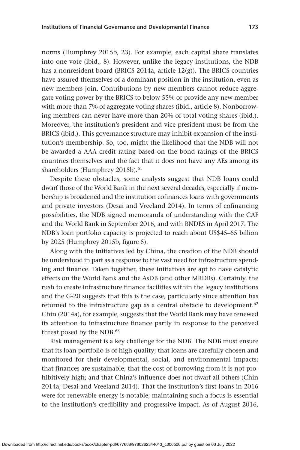norms (Humphrey 2015b, 23). For example, each capital share translates into one vote (ibid., 8). However, unlike the legacy institutions, the NDB has a nonresident board (BRICS 2014a, article  $12(g)$ ). The BRICS countries have assured themselves of a dominant position in the institution, even as new members join. Contributions by new members cannot reduce aggregate voting power by the BRICS to below 55% or provide any new member with more than 7% of aggregate voting shares (ibid., article 8). Nonborrowing members can never have more than 20% of total voting shares (ibid.). Moreover, the institution's president and vice president must be from the BRICS (ibid.). This governance structure may inhibit expansion of the institution's membership. So, too, might the likelihood that the NDB will not be awarded a AAA credit rating based on the bond ratings of the BRICS countries themselves and the fact that it does not have any AEs among its shareholders (Humphrey 2015b).<sup>61</sup>

Despite these obstacles, some analysts suggest that NDB loans could dwarf those of the World Bank in the next several decades, especially if membership is broadened and the institution cofinances loans with governments and private investors (Desai and Vreeland 2014). In terms of cofinancing possibilities, the NDB signed memoranda of understanding with the CAF and the World Bank in September 2016, and with BNDES in April 2017. The NDB's loan portfolio capacity is projected to reach about US\$45–65 billion by 2025 (Humphrey 2015b, figure 5).

Along with the initiatives led by China, the creation of the NDB should be understood in part as a response to the vast need for infrastructure spending and finance. Taken together, these initiatives are apt to have catalytic effects on the World Bank and the AsDB (and other MRDBs). Certainly, the rush to create infrastructure finance facilities within the legacy institutions and the G-20 suggests that this is the case, particularly since attention has returned to the infrastructure gap as a central obstacle to development.<sup>62</sup> Chin (2014a), for example, suggests that the World Bank may have renewed its attention to infrastructure finance partly in response to the perceived threat posed by the NDB.<sup>63</sup>

Risk management is a key challenge for the NDB. The NDB must ensure that its loan portfolio is of high quality; that loans are carefully chosen and monitored for their developmental, social, and environmental impacts; that finances are sustainable; that the cost of borrowing from it is not prohibitively high; and that China's influence does not dwarf all others (Chin 2014a; Desai and Vreeland 2014). That the institution's first loans in 2016 were for renewable energy is notable; maintaining such a focus is essential to the institution's credibility and progressive impact. As of August 2016,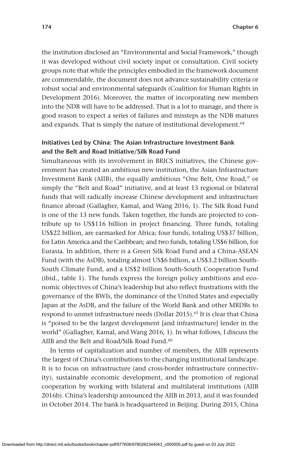the institution disclosed an "Environmental and Social Framework," though it was developed without civil society input or consultation. Civil society groups note that while the principles embodied in the framework document are commendable, the document does not advance sustainability criteria or robust social and environmental safeguards (Coalition for Human Rights in Development 2016). Moreover, the matter of incorporating new members into the NDB will have to be addressed. That is a lot to manage, and there is good reason to expect a series of failures and missteps as the NDB matures and expands. That is simply the nature of institutional development.<sup>64</sup>

#### **Initiatives Led by China: The Asian Infrastructure Investment Bank and the Belt and Road Initiative/Silk Road Fund**

Simultaneous with its involvement in BRICS initiatives, the Chinese government has created an ambitious new institution, the Asian Infrastructure Investment Bank (AIIB), the equally ambitious "One Belt, One Road," or simply the "Belt and Road" initiative, and at least 13 regional or bilateral funds that will radically increase Chinese development and infrastructure finance abroad (Gallagher, Kamal, and Wang 2016, 1). The Silk Road Fund is one of the 13 new funds. Taken together, the funds are projected to contribute up to US\$116 billion in project financing. Three funds, totaling US\$22 billion, are earmarked for Africa; four funds, totaling US\$37 billion, for Latin America and the Caribbean; and two funds, totaling US\$6 billion, for Eurasia. In addition, there is a Green Silk Road Fund and a China-ASEAN Fund (with the AsDB), totaling almost US\$6 billion, a US\$3.2 billion South-South Climate Fund, and a US\$2 billion South-South Cooperation Fund (ibid., table 1). The funds express the foreign policy ambitions and economic objectives of China's leadership but also reflect frustrations with the governance of the BWIs, the dominance of the United States and especially Japan at the AsDB, and the failure of the World Bank and other MRDBs to respond to unmet infrastructure needs (Dollar 2015).<sup>65</sup> It is clear that China is "poised to be the largest development [and infrastructure] lender in the world" (Gallagher, Kamal, and Wang 2016, 1). In what follows, I discuss the AIIB and the Belt and Road/Silk Road Fund.<sup>66</sup>

In terms of capitalization and number of members, the AIIB represents the largest of China's contributions to the changing institutional landscape. It is to focus on infrastructure (and cross-border infrastructure connectivity), sustainable economic development, and the promotion of regional cooperation by working with bilateral and multilateral institutions (AIIB 2016b). China's leadership announced the AIIB in 2013, and it was founded in October 2014. The bank is headquartered in Beijing. During 2015, China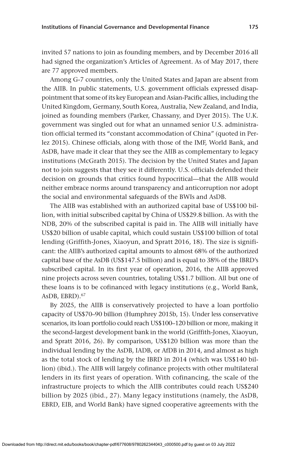invited 57 nations to join as founding members, and by December 2016 all had signed the organization's Articles of Agreement. As of May 2017, there are 77 approved members.

Among G-7 countries, only the United States and Japan are absent from the AIIB. In public statements, U.S. government officials expressed disappointment that some of its key European and Asian-Pacific allies, including the United Kingdom, Germany, South Korea, Australia, New Zealand, and India, joined as founding members (Parker, Chassany, and Dyer 2015). The U.K. government was singled out for what an unnamed senior U.S. administration official termed its "constant accommodation of China" (quoted in Perlez 2015). Chinese officials, along with those of the IMF, World Bank, and AsDB, have made it clear that they see the AIIB as complementary to legacy institutions (McGrath 2015). The decision by the United States and Japan not to join suggests that they see it differently. U.S. officials defended their decision on grounds that critics found hypocritical—that the AIIB would neither embrace norms around transparency and anticorruption nor adopt the social and environmental safeguards of the BWIs and AsDB.

The AIIB was established with an authorized capital base of US\$100 billion, with initial subscribed capital by China of US\$29.8 billion. As with the NDB, 20% of the subscribed capital is paid in. The AIIB will initially have US\$20 billion of usable capital, which could sustain US\$100 billion of total lending (Griffith-Jones, Xiaoyun, and Spratt 2016, 18). The size is significant: the AIIB's authorized capital amounts to almost 68% of the authorized capital base of the AsDB (US\$147.5 billion) and is equal to 38% of the IBRD's subscribed capital. In its first year of operation, 2016, the AIIB approved nine projects across seven countries, totaling US\$1.7 billion. All but one of these loans is to be cofinanced with legacy institutions (e.g., World Bank, AsDB, EBRD).<sup>67</sup>

By 2025, the AIIB is conservatively projected to have a loan portfolio capacity of US\$70–90 billion (Humphrey 2015b, 15). Under less conservative scenarios, its loan portfolio could reach US\$100–120 billion or more, making it the second-largest development bank in the world (Griffith-Jones, Xiaoyun, and Spratt 2016, 26). By comparison, US\$120 billion was more than the individual lending by the AsDB, IADB, or AfDB in 2014, and almost as high as the total stock of lending by the IBRD in 2014 (which was US\$140 billion) (ibid.). The AIIB will largely cofinance projects with other multilateral lenders in its first years of operation. With cofinancing, the scale of the infrastructure projects to which the AIIB contributes could reach US\$240 billion by 2025 (ibid., 27). Many legacy institutions (namely, the AsDB, EBRD, EIB, and World Bank) have signed cooperative agreements with the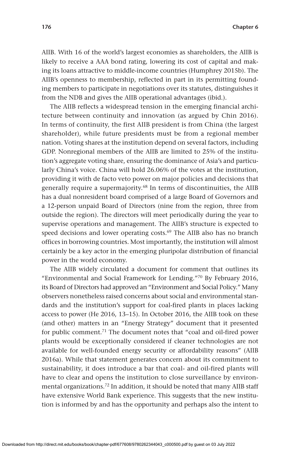AIIB. With 16 of the world's largest economies as shareholders, the AIIB is likely to receive a AAA bond rating, lowering its cost of capital and making its loans attractive to middle-income countries (Humphrey 2015b). The AIIB's openness to membership, reflected in part in its permitting founding members to participate in negotiations over its statutes, distinguishes it from the NDB and gives the AIIB operational advantages (ibid.).

The AIIB reflects a widespread tension in the emerging financial architecture between continuity and innovation (as argued by Chin 2016). In terms of continuity, the first AIIB president is from China (the largest shareholder), while future presidents must be from a regional member nation. Voting shares at the institution depend on several factors, including GDP. Nonregional members of the AIIB are limited to 25% of the institution's aggregate voting share, ensuring the dominance of Asia's and particularly China's voice. China will hold 26.06% of the votes at the institution, providing it with de facto veto power on major policies and decisions that generally require a supermajority.68 In terms of discontinuities, the AIIB has a dual nonresident board comprised of a large Board of Governors and a 12-person unpaid Board of Directors (nine from the region, three from outside the region). The directors will meet periodically during the year to supervise operations and management. The AIIB's structure is expected to speed decisions and lower operating costs.<sup>69</sup> The AIIB also has no branch offices in borrowing countries. Most importantly, the institution will almost certainly be a key actor in the emerging pluripolar distribution of financial power in the world economy.

The AIIB widely circulated a document for comment that outlines its "Environmental and Social Framework for Lending."70 By February 2016, its Board of Directors had approved an "Environment and Social Policy." Many observers nonetheless raised concerns about social and environmental standards and the institution's support for coal-fired plants in places lacking access to power (He 2016, 13–15). In October 2016, the AIIB took on these (and other) matters in an "Energy Strategy" document that it presented for public comment.71 The document notes that "coal and oil-fired power plants would be exceptionally considered if cleaner technologies are not available for well-founded energy security or affordability reasons" (AIIB 2016a). While that statement generates concern about its commitment to sustainability, it does introduce a bar that coal- and oil-fired plants will have to clear and opens the institution to close surveillance by environmental organizations.72 In addition, it should be noted that many AIIB staff have extensive World Bank experience. This suggests that the new institution is informed by and has the opportunity and perhaps also the intent to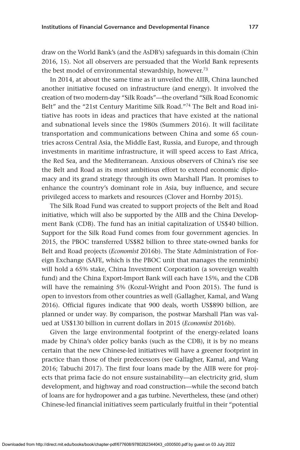draw on the World Bank's (and the AsDB's) safeguards in this domain (Chin 2016, 15). Not all observers are persuaded that the World Bank represents the best model of environmental stewardship, however.<sup>73</sup>

In 2014, at about the same time as it unveiled the AIIB, China launched another initiative focused on infrastructure (and energy). It involved the creation of two modern-day "Silk Roads"—the overland "Silk Road Economic Belt" and the "21st Century Maritime Silk Road."74 The Belt and Road initiative has roots in ideas and practices that have existed at the national and subnational levels since the 1980s (Summers 2016). It will facilitate transportation and communications between China and some 65 countries across Central Asia, the Middle East, Russia, and Europe, and through investments in maritime infrastructure, it will speed access to East Africa, the Red Sea, and the Mediterranean. Anxious observers of China's rise see the Belt and Road as its most ambitious effort to extend economic diplomacy and its grand strategy through its own Marshall Plan. It promises to enhance the country's dominant role in Asia, buy influence, and secure privileged access to markets and resources (Clover and Hornby 2015).

The Silk Road Fund was created to support projects of the Belt and Road initiative, which will also be supported by the AIIB and the China Development Bank (CDB). The fund has an initial capitalization of US\$40 billion. Support for the Silk Road Fund comes from four government agencies. In 2015, the PBOC transferred US\$82 billion to three state-owned banks for Belt and Road projects (*Economist* 2016b). The State Administration of Foreign Exchange (SAFE, which is the PBOC unit that manages the renminbi) will hold a 65% stake, China Investment Corporation (a sovereign wealth fund) and the China Export-Import Bank will each have 15%, and the CDB will have the remaining 5% (Kozul-Wright and Poon 2015). The fund is open to investors from other countries as well (Gallagher, Kamal, and Wang 2016). Official figures indicate that 900 deals, worth US\$890 billion, are planned or under way. By comparison, the postwar Marshall Plan was valued at US\$130 billion in current dollars in 2015 (*Economist* 2016b).

Given the large environmental footprint of the energy-related loans made by China's older policy banks (such as the CDB), it is by no means certain that the new Chinese-led initiatives will have a greener footprint in practice than those of their predecessors (see Gallagher, Kamal, and Wang 2016; Tabuchi 2017). The first four loans made by the AIIB were for projects that prima facie do not ensure sustainability—an electricity grid, slum development, and highway and road construction—while the second batch of loans are for hydropower and a gas turbine. Nevertheless, these (and other) Chinese-led financial initiatives seem particularly fruitful in their "potential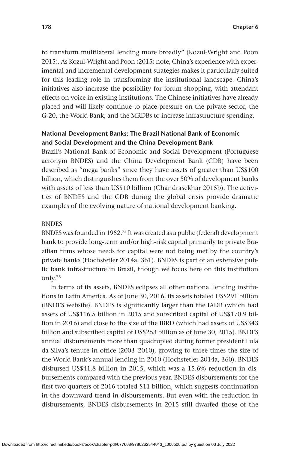to transform multilateral lending more broadly" (Kozul-Wright and Poon 2015). As Kozul-Wright and Poon (2015) note, China's experience with experimental and incremental development strategies makes it particularly suited for this leading role in transforming the institutional landscape. China's initiatives also increase the possibility for forum shopping, with attendant effects on voice in existing institutions. The Chinese initiatives have already placed and will likely continue to place pressure on the private sector, the G-20, the World Bank, and the MRDBs to increase infrastructure spending.

#### **National Development Banks: The Brazil National Bank of Economic and Social Development and the China Development Bank**

Brazil's National Bank of Economic and Social Development (Portuguese acronym BNDES) and the China Development Bank (CDB) have been described as "mega banks" since they have assets of greater than US\$100 billion, which distinguishes them from the over 50% of development banks with assets of less than US\$10 billion (Chandrasekhar 2015b). The activities of BNDES and the CDB during the global crisis provide dramatic examples of the evolving nature of national development banking.

#### **BNDES**

BNDES was founded in 1952.75 It was created as a public (federal) development bank to provide long-term and/or high-risk capital primarily to private Brazilian firms whose needs for capital were not being met by the country's private banks (Hochstetler 2014a, 361). BNDES is part of an extensive public bank infrastructure in Brazil, though we focus here on this institution only.76

In terms of its assets, BNDES eclipses all other national lending institutions in Latin America. As of June 30, 2016, its assets totaled US\$291 billion (BNDES website). BNDES is significantly larger than the IADB (which had assets of US\$116.5 billion in 2015 and subscribed capital of US\$170.9 billion in 2016) and close to the size of the IBRD (which had assets of US\$343 billion and subscribed capital of US\$253 billion as of June 30, 2015). BNDES annual disbursements more than quadrupled during former president Lula da Silva's tenure in office (2003–2010), growing to three times the size of the World Bank's annual lending in 2010 (Hochstetler 2014a, 360). BNDES disbursed US\$41.8 billion in 2015, which was a 15.6% reduction in disbursements compared with the previous year. BNDES disbursements for the first two quarters of 2016 totaled \$11 billion, which suggests continuation in the downward trend in disbursements. But even with the reduction in disbursements, BNDES disbursements in 2015 still dwarfed those of the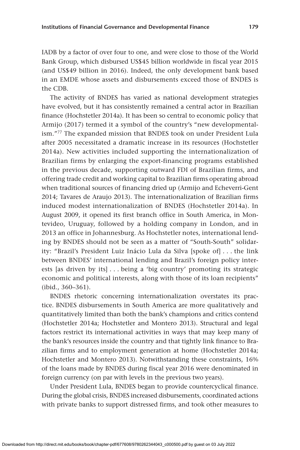IADB by a factor of over four to one, and were close to those of the World Bank Group, which disbursed US\$45 billion worldwide in fiscal year 2015 (and US\$49 billion in 2016). Indeed, the only development bank based in an EMDE whose assets and disbursements exceed those of BNDES is the CDB.

The activity of BNDES has varied as national development strategies have evolved, but it has consistently remained a central actor in Brazilian finance (Hochstetler 2014a). It has been so central to economic policy that Armijo (2017) termed it a symbol of the country's "new developmentalism."77 The expanded mission that BNDES took on under President Lula after 2005 necessitated a dramatic increase in its resources (Hochstetler 2014a). New activities included supporting the internationalization of Brazilian firms by enlarging the export-financing programs established in the previous decade, supporting outward FDI of Brazilian firms, and offering trade credit and working capital to Brazilian firms operating abroad when traditional sources of financing dried up (Armijo and Echeverri-Gent 2014; Tavares de Araujo 2013). The internationalization of Brazilian firms induced modest internationalization of BNDES (Hochstetler 2014a). In August 2009, it opened its first branch office in South America, in Montevideo, Uruguay, followed by a holding company in London, and in 2013 an office in Johannesburg. As Hochstetler notes, international lending by BNDES should not be seen as a matter of "South-South" solidarity: "Brazil's President Luiz Inácio Lula da Silva [spoke of] . . . the link between BNDES' international lending and Brazil's foreign policy interests [as driven by its] . . . being a 'big country' promoting its strategic economic and political interests, along with those of its loan recipients" (ibid., 360–361).

BNDES rhetoric concerning internationalization overstates its practice. BNDES disbursements in South America are more qualitatively and quantitatively limited than both the bank's champions and critics contend (Hochstetler 2014a; Hochstetler and Montero 2013). Structural and legal factors restrict its international activities in ways that may keep many of the bank's resources inside the country and that tightly link finance to Brazilian firms and to employment generation at home (Hochstetler 2014a; Hochstetler and Montero 2013). Notwithstanding these constraints, 16% of the loans made by BNDES during fiscal year 2016 were denominated in foreign currency (on par with levels in the previous two years).

Under President Lula, BNDES began to provide countercyclical finance. During the global crisis, BNDES increased disbursements, coordinated actions with private banks to support distressed firms, and took other measures to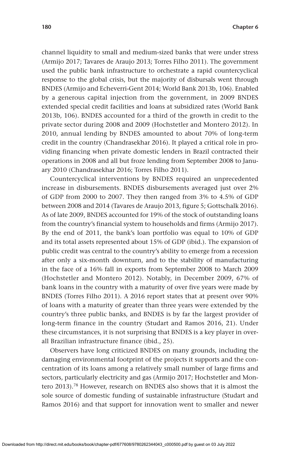channel liquidity to small and medium-sized banks that were under stress (Armijo 2017; Tavares de Araujo 2013; Torres Filho 2011). The government used the public bank infrastructure to orchestrate a rapid countercyclical response to the global crisis, but the majority of disbursals went through BNDES (Armijo and Echeverri-Gent 2014; World Bank 2013b, 106). Enabled by a generous capital injection from the government, in 2009 BNDES extended special credit facilities and loans at subsidized rates (World Bank 2013b, 106). BNDES accounted for a third of the growth in credit to the private sector during 2008 and 2009 (Hochstetler and Montero 2012). In 2010, annual lending by BNDES amounted to about 70% of long-term credit in the country (Chandrasekhar 2016). It played a critical role in providing financing when private domestic lenders in Brazil contracted their operations in 2008 and all but froze lending from September 2008 to January 2010 (Chandrasekhar 2016; Torres Filho 2011).

Countercyclical interventions by BNDES required an unprecedented increase in disbursements. BNDES disbursements averaged just over 2% of GDP from 2000 to 2007. They then ranged from 3% to 4.5% of GDP between 2008 and 2014 (Tavares de Araujo 2013, figure 5; Gottschalk 2016). As of late 2009, BNDES accounted for 19% of the stock of outstanding loans from the country's financial system to households and firms (Armijo 2017). By the end of 2011, the bank's loan portfolio was equal to 10% of GDP and its total assets represented about 15% of GDP (ibid.). The expansion of public credit was central to the country's ability to emerge from a recession after only a six-month downturn, and to the stability of manufacturing in the face of a 16% fall in exports from September 2008 to March 2009 (Hochstetler and Montero 2012). Notably, in December 2009, 67% of bank loans in the country with a maturity of over five years were made by BNDES (Torres Filho 2011). A 2016 report states that at present over 90% of loans with a maturity of greater than three years were extended by the country's three public banks, and BNDES is by far the largest provider of long-term finance in the country (Studart and Ramos 2016, 21). Under these circumstances, it is not surprising that BNDES is a key player in overall Brazilian infrastructure finance (ibid., 25).

Observers have long criticized BNDES on many grounds, including the damaging environmental footprint of the projects it supports and the concentration of its loans among a relatively small number of large firms and sectors, particularly electricity and gas (Armijo 2017; Hochstetler and Montero 2013).78 However, research on BNDES also shows that it is almost the sole source of domestic funding of sustainable infrastructure (Studart and Ramos 2016) and that support for innovation went to smaller and newer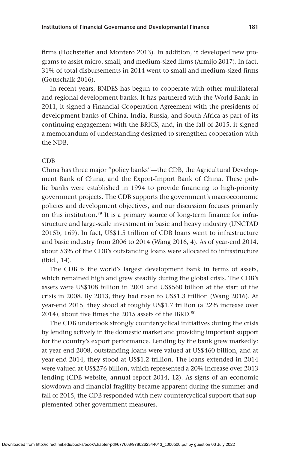firms (Hochstetler and Montero 2013). In addition, it developed new programs to assist micro, small, and medium-sized firms (Armijo 2017). In fact, 31% of total disbursements in 2014 went to small and medium-sized firms (Gottschalk 2016).

In recent years, BNDES has begun to cooperate with other multilateral and regional development banks. It has partnered with the World Bank; in 2011, it signed a Financial Cooperation Agreement with the presidents of development banks of China, India, Russia, and South Africa as part of its continuing engagement with the BRICS, and, in the fall of 2015, it signed a memorandum of understanding designed to strengthen cooperation with the NDB.

#### CDB

China has three major "policy banks"—the CDB, the Agricultural Development Bank of China, and the Export-Import Bank of China. These public banks were established in 1994 to provide financing to high-priority government projects. The CDB supports the government's macroeconomic policies and development objectives, and our discussion focuses primarily on this institution.79 It is a primary source of long-term finance for infrastructure and large-scale investment in basic and heavy industry (UNCTAD 2015b, 169). In fact, US\$1.5 trillion of CDB loans went to infrastructure and basic industry from 2006 to 2014 (Wang 2016, 4). As of year-end 2014, about 53% of the CDB's outstanding loans were allocated to infrastructure (ibid., 14).

The CDB is the world's largest development bank in terms of assets, which remained high and grew steadily during the global crisis. The CDB's assets were US\$108 billion in 2001 and US\$560 billion at the start of the crisis in 2008. By 2013, they had risen to US\$1.3 trillion (Wang 2016). At year-end 2015, they stood at roughly US\$1.7 trillion (a 22% increase over 2014), about five times the 2015 assets of the IBRD.<sup>80</sup>

The CDB undertook strongly countercyclical initiatives during the crisis by lending actively in the domestic market and providing important support for the country's export performance. Lending by the bank grew markedly: at year-end 2008, outstanding loans were valued at US\$460 billion, and at year-end 2014, they stood at US\$1.2 trillion. The loans extended in 2014 were valued at US\$276 billion, which represented a 20% increase over 2013 lending (CDB website, annual report 2014, 12). As signs of an economic slowdown and financial fragility became apparent during the summer and fall of 2015, the CDB responded with new countercyclical support that supplemented other government measures.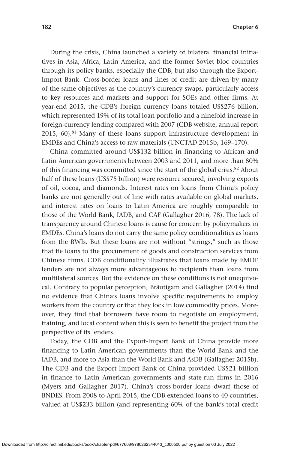During the crisis, China launched a variety of bilateral financial initiatives in Asia, Africa, Latin America, and the former Soviet bloc countries through its policy banks, especially the CDB, but also through the Export-Import Bank. Cross-border loans and lines of credit are driven by many of the same objectives as the country's currency swaps, particularly access to key resources and markets and support for SOEs and other firms. At year-end 2015, the CDB's foreign currency loans totaled US\$276 billion, which represented 19% of its total loan portfolio and a ninefold increase in foreign-currency lending compared with 2007 (CDB website, annual report  $2015$ ,  $60$ ).<sup>81</sup> Many of these loans support infrastructure development in EMDEs and China's access to raw materials (UNCTAD 2015b, 169–170).

China committed around US\$132 billion in financing to African and Latin American governments between 2003 and 2011, and more than 80% of this financing was committed since the start of the global crisis.82 About half of these loans (US\$75 billion) were resource secured, involving exports of oil, cocoa, and diamonds. Interest rates on loans from China's policy banks are not generally out of line with rates available on global markets, and interest rates on loans to Latin America are roughly comparable to those of the World Bank, IADB, and CAF (Gallagher 2016, 78). The lack of transparency around Chinese loans is cause for concern by policymakers in EMDEs. China's loans do not carry the same policy conditionalities as loans from the BWIs. But these loans are not without "strings," such as those that tie loans to the procurement of goods and construction services from Chinese firms. CDB conditionality illustrates that loans made by EMDE lenders are not always more advantageous to recipients than loans from multilateral sources. But the evidence on these conditions is not unequivocal. Contrary to popular perception, Bräutigam and Gallagher (2014) find no evidence that China's loans involve specific requirements to employ workers from the country or that they lock in low commodity prices. Moreover, they find that borrowers have room to negotiate on employment, training, and local content when this is seen to benefit the project from the perspective of its lenders.

Today, the CDB and the Export-Import Bank of China provide more financing to Latin American governments than the World Bank and the IADB, and more to Asia than the World Bank and AsDB (Gallagher 2015b). The CDB and the Export-Import Bank of China provided US\$21 billion in finance to Latin American governments and state-run firms in 2016 (Myers and Gallagher 2017). China's cross-border loans dwarf those of BNDES. From 2008 to April 2015, the CDB extended loans to 40 countries, valued at US\$233 billion (and representing 60% of the bank's total credit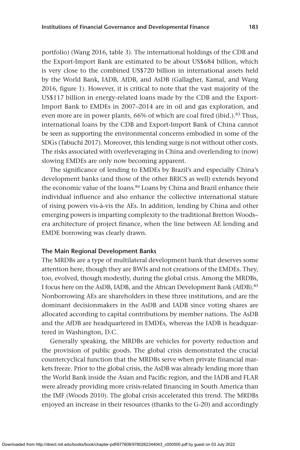portfolio) (Wang 2016, table 3). The international holdings of the CDB and the Export-Import Bank are estimated to be about US\$684 billion, which is very close to the combined US\$720 billion in international assets held by the World Bank, IADB, AfDB, and AsDB (Gallagher, Kamal, and Wang 2016, figure 1). However, it is critical to note that the vast majority of the US\$117 billion in energy-related loans made by the CDB and the Export-Import Bank to EMDEs in 2007–2014 are in oil and gas exploration, and even more are in power plants, 66% of which are coal fired (ibid.).<sup>83</sup> Thus, international loans by the CDB and Export-Import Bank of China cannot be seen as supporting the environmental concerns embodied in some of the SDGs (Tabuchi 2017). Moreover, this lending surge is not without other costs. The risks associated with overleveraging in China and overlending to (now) slowing EMDEs are only now becoming apparent.

The significance of lending to EMDEs by Brazil's and especially China's development banks (and those of the other BRICS as well) extends beyond the economic value of the loans.<sup>84</sup> Loans by China and Brazil enhance their individual influence and also enhance the collective international stature of rising powers vis-à-vis the AEs. In addition, lending by China and other emerging powers is imparting complexity to the traditional Bretton Woods– era architecture of project finance, when the line between AE lending and EMDE borrowing was clearly drawn.

#### **The Main Regional Development Banks**

The MRDBs are a type of multilateral development bank that deserves some attention here, though they are BWIs and not creations of the EMDEs. They, too, evolved, though modestly, during the global crisis. Among the MRDBs, I focus here on the AsDB, IADB, and the African Development Bank (AfDB).85 Nonborrowing AEs are shareholders in these three institutions, and are the dominant decisionmakers in the AsDB and IADB since voting shares are allocated according to capital contributions by member nations. The AsDB and the AfDB are headquartered in EMDEs, whereas the IADB is headquartered in Washington, D.C.

Generally speaking, the MRDBs are vehicles for poverty reduction and the provision of public goods. The global crisis demonstrated the crucial countercyclical function that the MRDBs serve when private financial markets freeze. Prior to the global crisis, the AsDB was already lending more than the World Bank inside the Asian and Pacific region, and the IADB and FLAR were already providing more crisis-related financing in South America than the IMF (Woods 2010). The global crisis accelerated this trend. The MRDBs enjoyed an increase in their resources (thanks to the G-20) and accordingly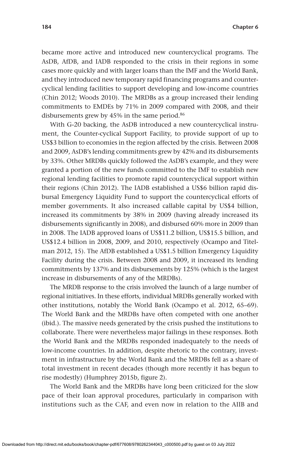became more active and introduced new countercyclical programs. The AsDB, AfDB, and IADB responded to the crisis in their regions in some cases more quickly and with larger loans than the IMF and the World Bank, and they introduced new temporary rapid financing programs and countercyclical lending facilities to support developing and low-income countries (Chin 2012; Woods 2010). The MRDBs as a group increased their lending commitments to EMDEs by 71% in 2009 compared with 2008, and their disbursements grew by 45% in the same period.<sup>86</sup>

With G-20 backing, the AsDB introduced a new countercyclical instrument, the Counter-cyclical Support Facility, to provide support of up to US\$3 billion to economies in the region affected by the crisis. Between 2008 and 2009, AsDB's lending commitments grew by 42% and its disbursements by 33%. Other MRDBs quickly followed the AsDB's example, and they were granted a portion of the new funds committed to the IMF to establish new regional lending facilities to promote rapid countercyclical support within their regions (Chin 2012). The IADB established a US\$6 billion rapid disbursal Emergency Liquidity Fund to support the countercyclical efforts of member governments. It also increased callable capital by US\$4 billion, increased its commitments by 38% in 2009 (having already increased its disbursements significantly in 2008), and disbursed 60% more in 2009 than in 2008. The IADB approved loans of US\$11.2 billion, US\$15.5 billion, and US\$12.4 billion in 2008, 2009, and 2010, respectively (Ocampo and Titelman 2012, 15). The AfDB established a US\$1.5 billion Emergency Liquidity Facility during the crisis. Between 2008 and 2009, it increased its lending commitments by 137% and its disbursements by 125% (which is the largest increase in disbursements of any of the MRDBs).

The MRDB response to the crisis involved the launch of a large number of regional initiatives. In these efforts, individual MRDBs generally worked with other institutions, notably the World Bank (Ocampo et al. 2012, 65–69). The World Bank and the MRDBs have often competed with one another (ibid.). The massive needs generated by the crisis pushed the institutions to collaborate. There were nevertheless major failings in these responses. Both the World Bank and the MRDBs responded inadequately to the needs of low-income countries. In addition, despite rhetoric to the contrary, investment in infrastructure by the World Bank and the MRDBs fell as a share of total investment in recent decades (though more recently it has begun to rise modestly) (Humphrey 2015b, figure 2).

The World Bank and the MRDBs have long been criticized for the slow pace of their loan approval procedures, particularly in comparison with institutions such as the CAF, and even now in relation to the AIIB and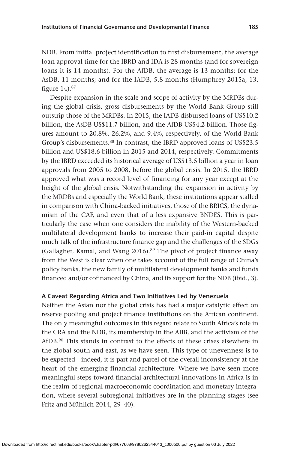NDB. From initial project identification to first disbursement, the average loan approval time for the IBRD and IDA is 28 months (and for sovereign loans it is 14 months). For the AfDB, the average is 13 months; for the AsDB, 11 months; and for the IADB, 5.8 months (Humphrey 2015a, 13, figure 14).87

Despite expansion in the scale and scope of activity by the MRDBs during the global crisis, gross disbursements by the World Bank Group still outstrip those of the MRDBs. In 2015, the IADB disbursed loans of US\$10.2 billion, the AsDB US\$11.7 billion, and the AfDB US\$4.2 billion. Those figures amount to 20.8%, 26.2%, and 9.4%, respectively, of the World Bank Group's disbursements.<sup>88</sup> In contrast, the IBRD approved loans of US\$23.5 billion and US\$18.6 billion in 2015 and 2014, respectively. Commitments by the IBRD exceeded its historical average of US\$13.5 billion a year in loan approvals from 2005 to 2008, before the global crisis. In 2015, the IBRD approved what was a record level of financing for any year except at the height of the global crisis. Notwithstanding the expansion in activity by the MRDBs and especially the World Bank, these institutions appear stalled in comparison with China-backed initiatives, those of the BRICS, the dynamism of the CAF, and even that of a less expansive BNDES. This is particularly the case when one considers the inability of the Western-backed multilateral development banks to increase their paid-in capital despite much talk of the infrastructure finance gap and the challenges of the SDGs (Gallagher, Kamal, and Wang 2016).<sup>89</sup> The pivot of project finance away from the West is clear when one takes account of the full range of China's policy banks, the new family of multilateral development banks and funds financed and/or cofinanced by China, and its support for the NDB (ibid., 3).

#### **A Caveat Regarding Africa and Two Initiatives Led by Venezuela**

Neither the Asian nor the global crisis has had a major catalytic effect on reserve pooling and project finance institutions on the African continent. The only meaningful outcomes in this regard relate to South Africa's role in the CRA and the NDB, its membership in the AIIB, and the activism of the AfDB.<sup>90</sup> This stands in contrast to the effects of these crises elsewhere in the global south and east, as we have seen. This type of unevenness is to be expected—indeed, it is part and parcel of the overall inconsistency at the heart of the emerging financial architecture. Where we have seen more meaningful steps toward financial architectural innovations in Africa is in the realm of regional macroeconomic coordination and monetary integration, where several subregional initiatives are in the planning stages (see Fritz and Mühlich 2014, 29–40).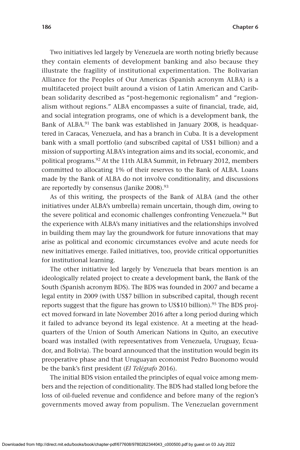Two initiatives led largely by Venezuela are worth noting briefly because they contain elements of development banking and also because they illustrate the fragility of institutional experimentation. The Bolivarian Alliance for the Peoples of Our Americas (Spanish acronym ALBA) is a multifaceted project built around a vision of Latin American and Caribbean solidarity described as "post-hegemonic regionalism" and "regionalism without regions." ALBA encompasses a suite of financial, trade, aid, and social integration programs, one of which is a development bank, the Bank of ALBA.<sup>91</sup> The bank was established in January 2008, is headquartered in Caracas, Venezuela, and has a branch in Cuba. It is a development bank with a small portfolio (and subscribed capital of US\$1 billion) and a mission of supporting ALBA's integration aims and its social, economic, and political programs.92 At the 11th ALBA Summit, in February 2012, members committed to allocating 1% of their reserves to the Bank of ALBA. Loans made by the Bank of ALBA do not involve conditionality, and discussions are reportedly by consensus (Janike 2008).<sup>93</sup>

As of this writing, the prospects of the Bank of ALBA (and the other initiatives under ALBA's umbrella) remain uncertain, though dim, owing to the severe political and economic challenges confronting Venezuela.<sup>94</sup> But the experience with ALBA's many initiatives and the relationships involved in building them may lay the groundwork for future innovations that may arise as political and economic circumstances evolve and acute needs for new initiatives emerge. Failed initiatives, too, provide critical opportunities for institutional learning.

The other initiative led largely by Venezuela that bears mention is an ideologically related project to create a development bank, the Bank of the South (Spanish acronym BDS). The BDS was founded in 2007 and became a legal entity in 2009 (with US\$7 billion in subscribed capital, though recent reports suggest that the figure has grown to US\$10 billion).<sup>95</sup> The BDS project moved forward in late November 2016 after a long period during which it failed to advance beyond its legal existence. At a meeting at the headquarters of the Union of South American Nations in Quito, an executive board was installed (with representatives from Venezuela, Uruguay, Ecuador, and Bolivia). The board announced that the institution would begin its preoperative phase and that Uruguayan economist Pedro Buonomo would be the bank's first president (*El Telégrafo* 2016).

The initial BDS vision entailed the principles of equal voice among members and the rejection of conditionality. The BDS had stalled long before the loss of oil-fueled revenue and confidence and before many of the region's governments moved away from populism. The Venezuelan government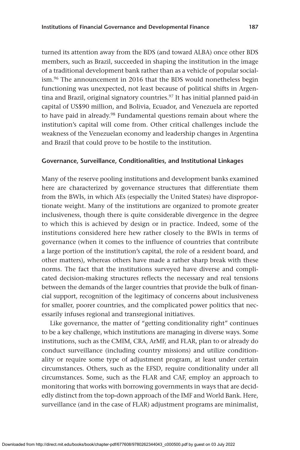turned its attention away from the BDS (and toward ALBA) once other BDS members, such as Brazil, succeeded in shaping the institution in the image of a traditional development bank rather than as a vehicle of popular socialism.<sup>96</sup> The announcement in 2016 that the BDS would nonetheless begin functioning was unexpected, not least because of political shifts in Argentina and Brazil, original signatory countries.<sup>97</sup> It has initial planned paid-in capital of US\$90 million, and Bolivia, Ecuador, and Venezuela are reported to have paid in already.<sup>98</sup> Fundamental questions remain about where the institution's capital will come from. Other critical challenges include the weakness of the Venezuelan economy and leadership changes in Argentina and Brazil that could prove to be hostile to the institution.

#### **Governance, Surveillance, Conditionalities, and Institutional Linkages**

Many of the reserve pooling institutions and development banks examined here are characterized by governance structures that differentiate them from the BWIs, in which AEs (especially the United States) have disproportionate weight. Many of the institutions are organized to promote greater inclusiveness, though there is quite considerable divergence in the degree to which this is achieved by design or in practice. Indeed, some of the institutions considered here hew rather closely to the BWIs in terms of governance (when it comes to the influence of countries that contribute a large portion of the institution's capital, the role of a resident board, and other matters), whereas others have made a rather sharp break with these norms. The fact that the institutions surveyed have diverse and complicated decision-making structures reflects the necessary and real tensions between the demands of the larger countries that provide the bulk of financial support, recognition of the legitimacy of concerns about inclusiveness for smaller, poorer countries, and the complicated power politics that necessarily infuses regional and transregional initiatives.

Like governance, the matter of "getting conditionality right" continues to be a key challenge, which institutions are managing in diverse ways. Some institutions, such as the CMIM, CRA, ArMF, and FLAR, plan to or already do conduct surveillance (including country missions) and utilize conditionality or require some type of adjustment program, at least under certain circumstances. Others, such as the EFSD, require conditionality under all circumstances. Some, such as the FLAR and CAF, employ an approach to monitoring that works with borrowing governments in ways that are decidedly distinct from the top-down approach of the IMF and World Bank. Here, surveillance (and in the case of FLAR) adjustment programs are minimalist,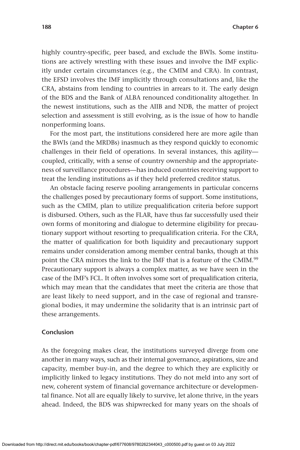highly country-specific, peer based, and exclude the BWIs. Some institutions are actively wrestling with these issues and involve the IMF explicitly under certain circumstances (e.g., the CMIM and CRA). In contrast, the EFSD involves the IMF implicitly through consultations and, like the CRA, abstains from lending to countries in arrears to it. The early design of the BDS and the Bank of ALBA renounced conditionality altogether. In the newest institutions, such as the AIIB and NDB, the matter of project selection and assessment is still evolving, as is the issue of how to handle nonperforming loans.

For the most part, the institutions considered here are more agile than the BWIs (and the MRDBs) inasmuch as they respond quickly to economic challenges in their field of operations. In several instances, this agility coupled, critically, with a sense of country ownership and the appropriateness of surveillance procedures—has induced countries receiving support to treat the lending institutions as if they held preferred creditor status.

An obstacle facing reserve pooling arrangements in particular concerns the challenges posed by precautionary forms of support. Some institutions, such as the CMIM, plan to utilize prequalification criteria before support is disbursed. Others, such as the FLAR, have thus far successfully used their own forms of monitoring and dialogue to determine eligibility for precautionary support without resorting to prequalification criteria. For the CRA, the matter of qualification for both liquidity and precautionary support remains under consideration among member central banks, though at this point the CRA mirrors the link to the IMF that is a feature of the CMIM.<sup>99</sup> Precautionary support is always a complex matter, as we have seen in the case of the IMF's FCL. It often involves some sort of prequalification criteria, which may mean that the candidates that meet the criteria are those that are least likely to need support, and in the case of regional and transregional bodies, it may undermine the solidarity that is an intrinsic part of these arrangements.

#### **Conclusion**

As the foregoing makes clear, the institutions surveyed diverge from one another in many ways, such as their internal governance, aspirations, size and capacity, member buy-in, and the degree to which they are explicitly or implicitly linked to legacy institutions. They do not meld into any sort of new, coherent system of financial governance architecture or developmental finance. Not all are equally likely to survive, let alone thrive, in the years ahead. Indeed, the BDS was shipwrecked for many years on the shoals of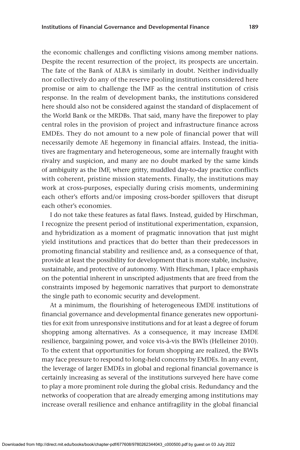the economic challenges and conflicting visions among member nations. Despite the recent resurrection of the project, its prospects are uncertain. The fate of the Bank of ALBA is similarly in doubt. Neither individually nor collectively do any of the reserve pooling institutions considered here promise or aim to challenge the IMF as the central institution of crisis response. In the realm of development banks, the institutions considered here should also not be considered against the standard of displacement of the World Bank or the MRDBs. That said, many have the firepower to play central roles in the provision of project and infrastructure finance across EMDEs. They do not amount to a new pole of financial power that will necessarily demote AE hegemony in financial affairs. Instead, the initiatives are fragmentary and heterogeneous, some are internally fraught with rivalry and suspicion, and many are no doubt marked by the same kinds of ambiguity as the IMF, where gritty, muddled day-to-day practice conflicts with coherent, pristine mission statements. Finally, the institutions may work at cross-purposes, especially during crisis moments, undermining

I do not take these features as fatal flaws. Instead, guided by Hirschman, I recognize the present period of institutional experimentation, expansion, and hybridization as a moment of pragmatic innovation that just might yield institutions and practices that do better than their predecessors in promoting financial stability and resilience and, as a consequence of that, provide at least the possibility for development that is more stable, inclusive, sustainable, and protective of autonomy. With Hirschman, I place emphasis on the potential inherent in unscripted adjustments that are freed from the constraints imposed by hegemonic narratives that purport to demonstrate the single path to economic security and development.

each other's efforts and/or imposing cross-border spillovers that disrupt

each other's economies.

At a minimum, the flourishing of heterogeneous EMDE institutions of financial governance and developmental finance generates new opportunities for exit from unresponsive institutions and for at least a degree of forum shopping among alternatives. As a consequence, it may increase EMDE resilience, bargaining power, and voice vis-à-vis the BWIs (Helleiner 2010). To the extent that opportunities for forum shopping are realized, the BWIs may face pressure to respond to long-held concerns by EMDEs. In any event, the leverage of larger EMDEs in global and regional financial governance is certainly increasing as several of the institutions surveyed here have come to play a more prominent role during the global crisis. Redundancy and the networks of cooperation that are already emerging among institutions may increase overall resilience and enhance antifragility in the global financial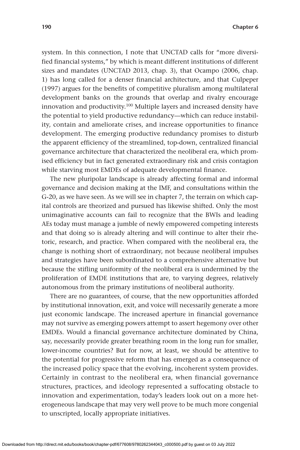system. In this connection, I note that UNCTAD calls for "more diversified financial systems," by which is meant different institutions of different sizes and mandates (UNCTAD 2013, chap. 3), that Ocampo (2006, chap. 1) has long called for a denser financial architecture, and that Culpeper (1997) argues for the benefits of competitive pluralism among multilateral development banks on the grounds that overlap and rivalry encourage innovation and productivity.<sup>100</sup> Multiple layers and increased density have the potential to yield productive redundancy—which can reduce instability, contain and ameliorate crises, and increase opportunities to finance development. The emerging productive redundancy promises to disturb the apparent efficiency of the streamlined, top-down, centralized financial governance architecture that characterized the neoliberal era, which promised efficiency but in fact generated extraordinary risk and crisis contagion while starving most EMDEs of adequate developmental finance.

The new pluripolar landscape is already affecting formal and informal governance and decision making at the IMF, and consultations within the G-20, as we have seen. As we will see in chapter 7, the terrain on which capital controls are theorized and pursued has likewise shifted. Only the most unimaginative accounts can fail to recognize that the BWIs and leading AEs today must manage a jumble of newly empowered competing interests and that doing so is already altering and will continue to alter their rhetoric, research, and practice. When compared with the neoliberal era, the change is nothing short of extraordinary, not because neoliberal impulses and strategies have been subordinated to a comprehensive alternative but because the stifling uniformity of the neoliberal era is undermined by the proliferation of EMDE institutions that are, to varying degrees, relatively autonomous from the primary institutions of neoliberal authority.

There are no guarantees, of course, that the new opportunities afforded by institutional innovation, exit, and voice will necessarily generate a more just economic landscape. The increased aperture in financial governance may not survive as emerging powers attempt to assert hegemony over other EMDEs. Would a financial governance architecture dominated by China, say, necessarily provide greater breathing room in the long run for smaller, lower-income countries? But for now, at least, we should be attentive to the potential for progressive reform that has emerged as a consequence of the increased policy space that the evolving, incoherent system provides. Certainly in contrast to the neoliberal era, when financial governance structures, practices, and ideology represented a suffocating obstacle to innovation and experimentation, today's leaders look out on a more heterogeneous landscape that may very well prove to be much more congenial to unscripted, locally appropriate initiatives.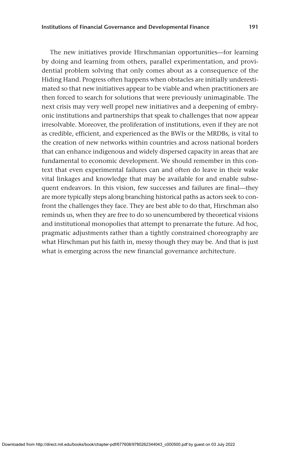The new initiatives provide Hirschmanian opportunities—for learning by doing and learning from others, parallel experimentation, and providential problem solving that only comes about as a consequence of the Hiding Hand. Progress often happens when obstacles are initially underestimated so that new initiatives appear to be viable and when practitioners are then forced to search for solutions that were previously unimaginable. The next crisis may very well propel new initiatives and a deepening of embryonic institutions and partnerships that speak to challenges that now appear irresolvable. Moreover, the proliferation of institutions, even if they are not as credible, efficient, and experienced as the BWIs or the MRDBs, is vital to the creation of new networks within countries and across national borders that can enhance indigenous and widely dispersed capacity in areas that are fundamental to economic development. We should remember in this context that even experimental failures can and often do leave in their wake vital linkages and knowledge that may be available for and enable subsequent endeavors. In this vision, few successes and failures are final—they are more typically steps along branching historical paths as actors seek to confront the challenges they face. They are best able to do that, Hirschman also reminds us, when they are free to do so unencumbered by theoretical visions and institutional monopolies that attempt to prenarrate the future. Ad hoc, pragmatic adjustments rather than a tightly constrained choreography are what Hirschman put his faith in, messy though they may be. And that is just what is emerging across the new financial governance architecture.